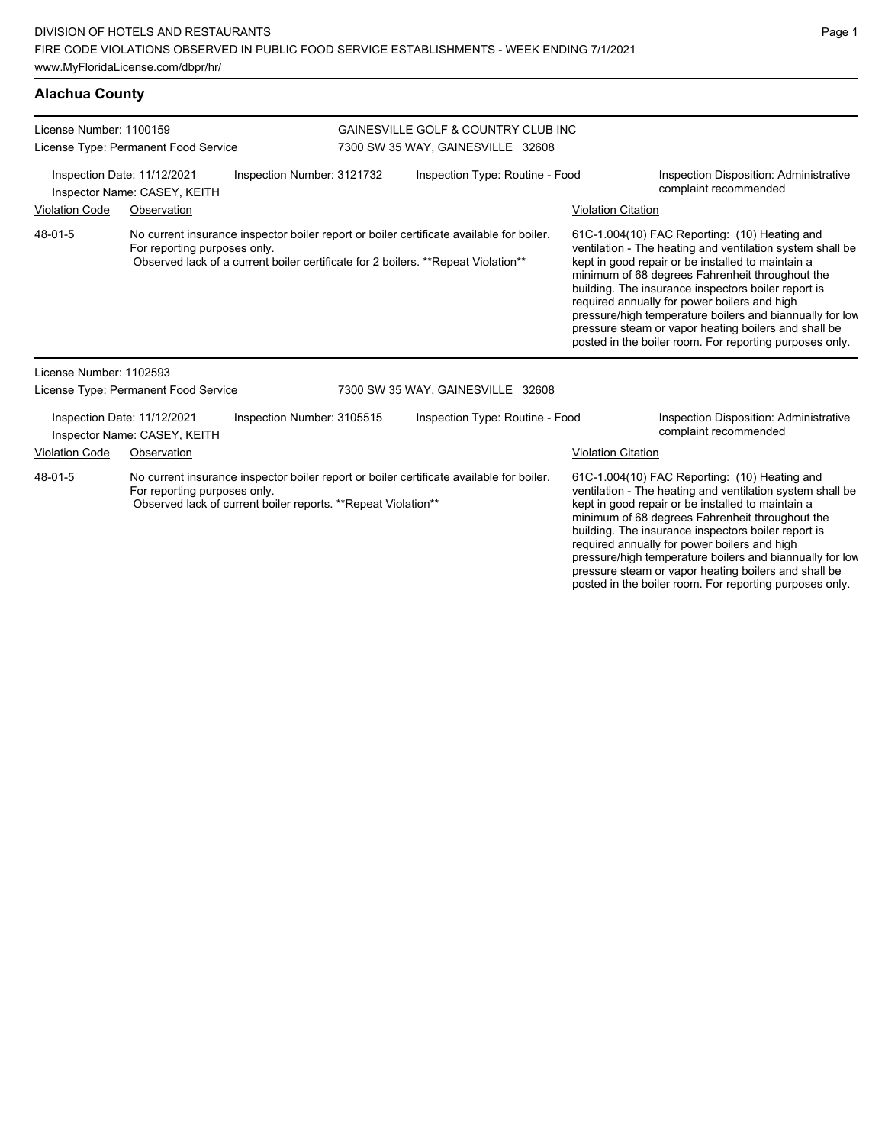| License Number: 1100159<br>License Type: Permanent Food Service |                                                             |                                                                | <b>GAINESVILLE GOLF &amp; COUNTRY CLUB INC</b><br>7300 SW 35 WAY, GAINESVILLE 32608 |                                                                                                                                                                               |                           |                                                                                                                                                                                                                                                                                                                                                                                                                                                                                                          |
|-----------------------------------------------------------------|-------------------------------------------------------------|----------------------------------------------------------------|-------------------------------------------------------------------------------------|-------------------------------------------------------------------------------------------------------------------------------------------------------------------------------|---------------------------|----------------------------------------------------------------------------------------------------------------------------------------------------------------------------------------------------------------------------------------------------------------------------------------------------------------------------------------------------------------------------------------------------------------------------------------------------------------------------------------------------------|
| Inspection Date: 11/12/2021<br>Inspector Name: CASEY, KEITH     |                                                             | Inspection Number: 3121732                                     |                                                                                     | Inspection Type: Routine - Food                                                                                                                                               |                           | Inspection Disposition: Administrative<br>complaint recommended                                                                                                                                                                                                                                                                                                                                                                                                                                          |
| <b>Violation Code</b>                                           | Observation                                                 |                                                                |                                                                                     |                                                                                                                                                                               | <b>Violation Citation</b> |                                                                                                                                                                                                                                                                                                                                                                                                                                                                                                          |
| 48-01-5                                                         | For reporting purposes only.                                |                                                                |                                                                                     | No current insurance inspector boiler report or boiler certificate available for boiler.<br>Observed lack of a current boiler certificate for 2 boilers. **Repeat Violation** |                           | 61C-1.004(10) FAC Reporting: (10) Heating and<br>ventilation - The heating and ventilation system shall be<br>kept in good repair or be installed to maintain a<br>minimum of 68 degrees Fahrenheit throughout the<br>building. The insurance inspectors boiler report is<br>required annually for power boilers and high<br>pressure/high temperature boilers and biannually for low<br>pressure steam or vapor heating boilers and shall be<br>posted in the boiler room. For reporting purposes only. |
| License Number: 1102593                                         |                                                             |                                                                |                                                                                     |                                                                                                                                                                               |                           |                                                                                                                                                                                                                                                                                                                                                                                                                                                                                                          |
|                                                                 | License Type: Permanent Food Service                        |                                                                |                                                                                     | 7300 SW 35 WAY, GAINESVILLE 32608                                                                                                                                             |                           |                                                                                                                                                                                                                                                                                                                                                                                                                                                                                                          |
|                                                                 | Inspection Date: 11/12/2021<br>Inspector Name: CASEY, KEITH | Inspection Number: 3105515                                     |                                                                                     | Inspection Type: Routine - Food                                                                                                                                               |                           | Inspection Disposition: Administrative<br>complaint recommended                                                                                                                                                                                                                                                                                                                                                                                                                                          |
| <b>Violation Code</b>                                           | Observation                                                 |                                                                |                                                                                     |                                                                                                                                                                               | <b>Violation Citation</b> |                                                                                                                                                                                                                                                                                                                                                                                                                                                                                                          |
| 48-01-5                                                         | For reporting purposes only.                                | Observed lack of current boiler reports. ** Repeat Violation** |                                                                                     | No current insurance inspector boiler report or boiler certificate available for boiler.                                                                                      |                           | 61C-1.004(10) FAC Reporting: (10) Heating and<br>ventilation - The heating and ventilation system shall be<br>kept in good repair or be installed to maintain a<br>minimum of 68 degrees Fahrenheit throughout the<br>building. The insurance inspectors boiler report is<br>required annually for power boilers and high<br>pressure/high temperature boilers and biannually for low                                                                                                                    |

pressure steam or vapor heating boilers and shall be posted in the boiler room. For reporting purposes only.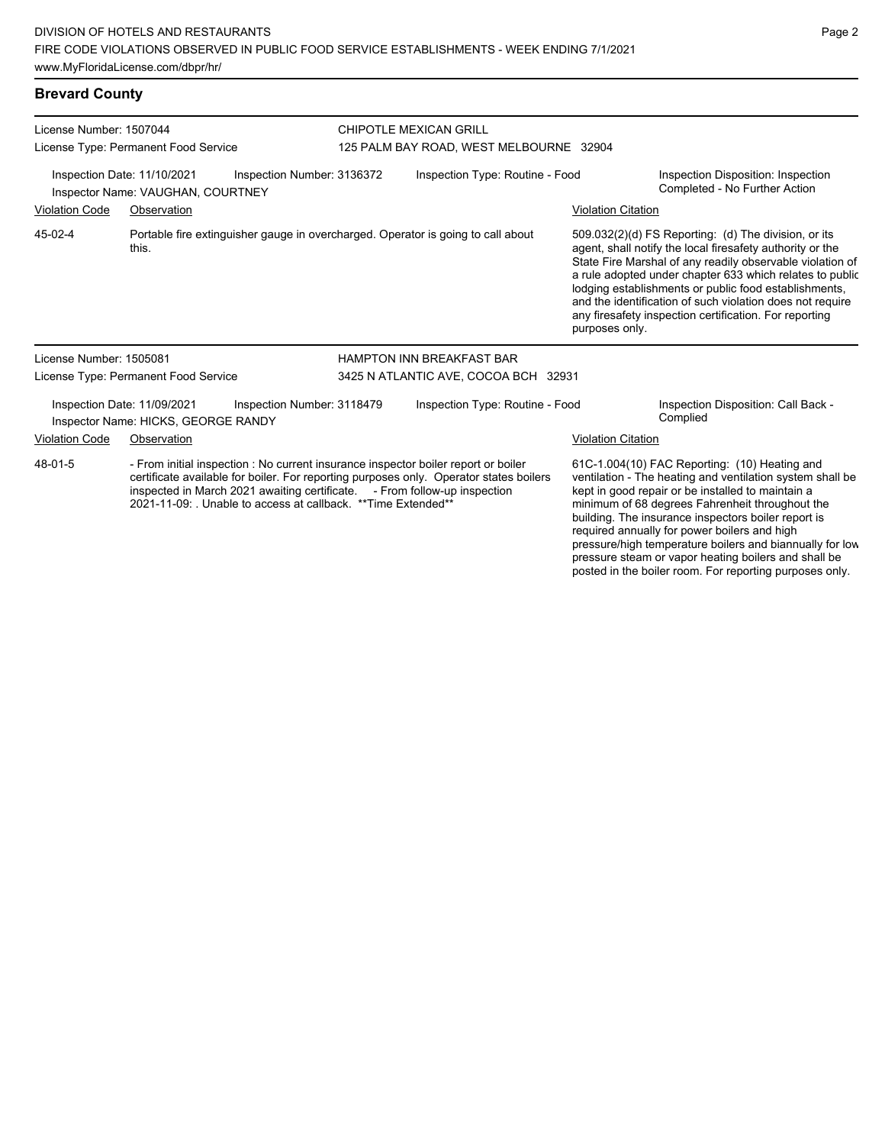**Brevard County**

License Number: 1507044 License Type: Permanent Food Service CHIPOTLE MEXICAN GRILL 125 PALM BAY ROAD, WEST MELBOURNE 32904 Inspection Date: 11/10/2021 Inspection Number: 3136372 Inspection Type: Routine - Food Inspection Disposition: Inspection<br>Inspector Name: VALIGHAN, COURTNEY Inspector Name: VAUGHAN, COURTNEY Violation Code Observation Violation Citation Portable fire extinguisher gauge in overcharged. Operator is going to call about this. 509.032(2)(d) FS Reporting: (d) The division, or its agent, shall notify the local firesafety authority or the State Fire Marshal of any readily observable violation of a rule adopted under chapter 633 which relates to public lodging establishments or public food establishments, and the identification of such violation does not require any firesafety inspection certification. For reporting purposes only. 45-02-4 License Number: 1505081 License Type: Permanent Food Service HAMPTON INN BREAKFAST BAR 3425 N ATLANTIC AVE, COCOA BCH 32931 Inspection Date: 11/09/2021 Inspection Number: 3118479 Inspection Type: Routine - Food Inspection Disposition: Call Back - Inspector Name: HICKS, GEORGE RANDY **Complied** Violation Code Observation Violation Citation - From initial inspection : No current insurance inspector boiler report or boiler certificate available for boiler. For reporting purposes only. Operator states boilers inspected in March 2021 awaiting certificate. - From follow-up inspection 2021-11-09: . Unable to access at callback. \*\*Time Extended\*\* 61C-1.004(10) FAC Reporting: (10) Heating and ventilation - The heating and ventilation system shall be kept in good repair or be installed to maintain a minimum of 68 degrees Fahrenheit throughout the building. The insurance inspectors boiler report is 48-01-5

# Page 2

required annually for power boilers and high

pressure/high temperature boilers and biannually for low pressure steam or vapor heating boilers and shall be posted in the boiler room. For reporting purposes only.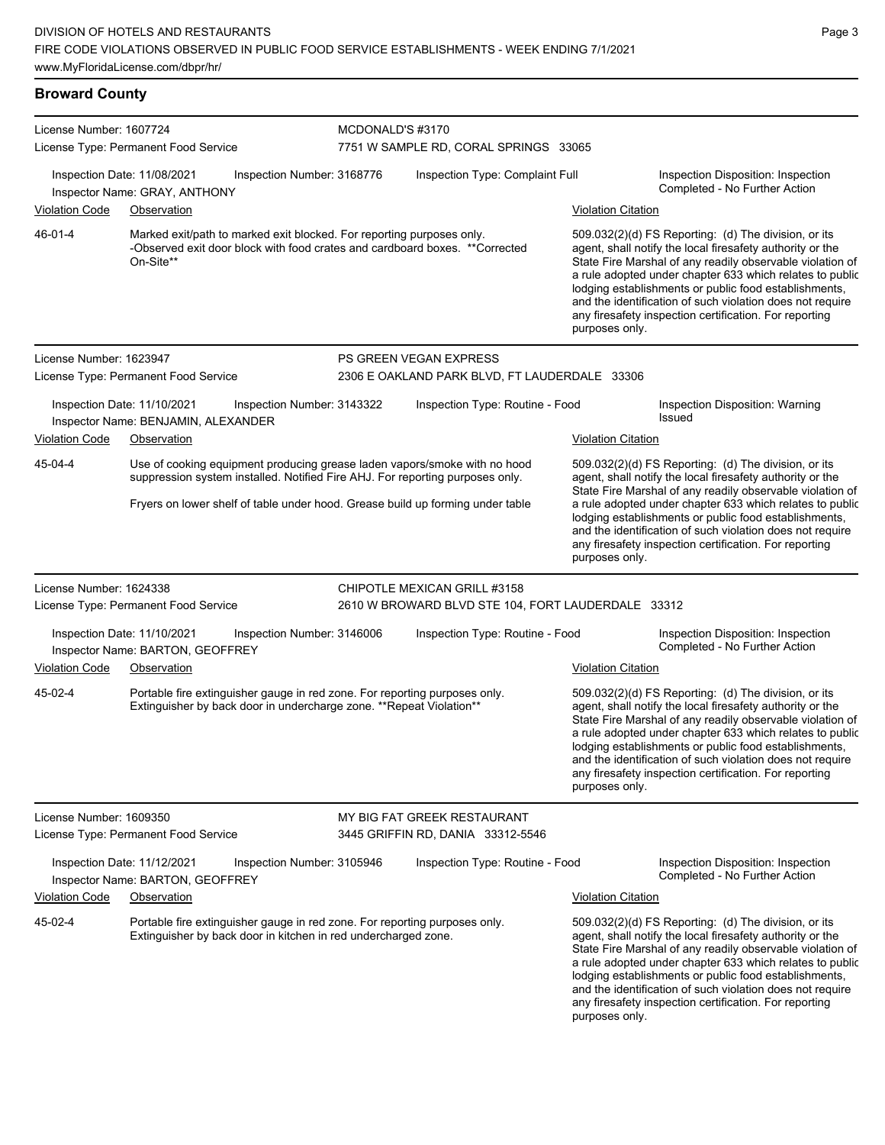# **Broward County**

| License Number: 1607724                                                                    |                                      |                                                                                                                                                    | MCDONALD'S #3170                |                                                                                                                                                            |                                                                     |                                                                                                                                                                                                                                                                                                                                                                                                                            |
|--------------------------------------------------------------------------------------------|--------------------------------------|----------------------------------------------------------------------------------------------------------------------------------------------------|---------------------------------|------------------------------------------------------------------------------------------------------------------------------------------------------------|---------------------------------------------------------------------|----------------------------------------------------------------------------------------------------------------------------------------------------------------------------------------------------------------------------------------------------------------------------------------------------------------------------------------------------------------------------------------------------------------------------|
| License Type: Permanent Food Service                                                       |                                      |                                                                                                                                                    |                                 | 7751 W SAMPLE RD, CORAL SPRINGS 33065                                                                                                                      |                                                                     |                                                                                                                                                                                                                                                                                                                                                                                                                            |
| Inspection Date: 11/08/2021<br>Inspection Number: 3168776<br>Inspector Name: GRAY, ANTHONY |                                      |                                                                                                                                                    | Inspection Type: Complaint Full |                                                                                                                                                            | Inspection Disposition: Inspection<br>Completed - No Further Action |                                                                                                                                                                                                                                                                                                                                                                                                                            |
| <b>Violation Code</b>                                                                      | Observation                          |                                                                                                                                                    |                                 |                                                                                                                                                            | <b>Violation Citation</b>                                           |                                                                                                                                                                                                                                                                                                                                                                                                                            |
| 46-01-4                                                                                    | On-Site**                            | Marked exit/path to marked exit blocked. For reporting purposes only.                                                                              |                                 | -Observed exit door block with food crates and cardboard boxes. **Corrected                                                                                | purposes only.                                                      | 509.032(2)(d) FS Reporting: (d) The division, or its<br>agent, shall notify the local firesafety authority or the<br>State Fire Marshal of any readily observable violation of<br>a rule adopted under chapter 633 which relates to public<br>lodging establishments or public food establishments,<br>and the identification of such violation does not require<br>any firesafety inspection certification. For reporting |
| License Number: 1623947                                                                    |                                      |                                                                                                                                                    |                                 | PS GREEN VEGAN EXPRESS                                                                                                                                     |                                                                     |                                                                                                                                                                                                                                                                                                                                                                                                                            |
|                                                                                            | License Type: Permanent Food Service |                                                                                                                                                    |                                 | 2306 E OAKLAND PARK BLVD, FT LAUDERDALE 33306                                                                                                              |                                                                     |                                                                                                                                                                                                                                                                                                                                                                                                                            |
| Inspection Date: 11/10/2021                                                                | Inspector Name: BENJAMIN, ALEXANDER  | Inspection Number: 3143322                                                                                                                         |                                 | Inspection Type: Routine - Food                                                                                                                            |                                                                     | Inspection Disposition: Warning<br>Issued                                                                                                                                                                                                                                                                                                                                                                                  |
| <b>Violation Code</b>                                                                      | Observation                          |                                                                                                                                                    |                                 |                                                                                                                                                            | <b>Violation Citation</b>                                           |                                                                                                                                                                                                                                                                                                                                                                                                                            |
| 45-04-4                                                                                    |                                      |                                                                                                                                                    |                                 | Use of cooking equipment producing grease laden vapors/smoke with no hood<br>suppression system installed. Notified Fire AHJ. For reporting purposes only. |                                                                     | 509.032(2)(d) FS Reporting: (d) The division, or its<br>agent, shall notify the local firesafety authority or the<br>State Fire Marshal of any readily observable violation of                                                                                                                                                                                                                                             |
|                                                                                            |                                      |                                                                                                                                                    |                                 | Fryers on lower shelf of table under hood. Grease build up forming under table                                                                             | purposes only.                                                      | a rule adopted under chapter 633 which relates to public<br>lodging establishments or public food establishments,<br>and the identification of such violation does not require<br>any firesafety inspection certification. For reporting                                                                                                                                                                                   |
| License Number: 1624338                                                                    |                                      |                                                                                                                                                    |                                 | CHIPOTLE MEXICAN GRILL #3158                                                                                                                               |                                                                     |                                                                                                                                                                                                                                                                                                                                                                                                                            |
| License Type: Permanent Food Service                                                       |                                      |                                                                                                                                                    |                                 | 2610 W BROWARD BLVD STE 104, FORT LAUDERDALE 33312                                                                                                         |                                                                     |                                                                                                                                                                                                                                                                                                                                                                                                                            |
| Inspection Date: 11/10/2021                                                                | Inspector Name: BARTON, GEOFFREY     | Inspection Number: 3146006                                                                                                                         |                                 | Inspection Type: Routine - Food                                                                                                                            |                                                                     | Inspection Disposition: Inspection<br>Completed - No Further Action                                                                                                                                                                                                                                                                                                                                                        |
| <b>Violation Code</b>                                                                      | Observation                          |                                                                                                                                                    |                                 |                                                                                                                                                            | <b>Violation Citation</b>                                           |                                                                                                                                                                                                                                                                                                                                                                                                                            |
| 45-02-4                                                                                    |                                      | Portable fire extinguisher gauge in red zone. For reporting purposes only.<br>Extinguisher by back door in undercharge zone. ** Repeat Violation** |                                 |                                                                                                                                                            | purposes only.                                                      | 509.032(2)(d) FS Reporting: (d) The division, or its<br>agent, shall notify the local firesafety authority or the<br>State Fire Marshal of any readily observable violation of<br>a rule adopted under chapter 633 which relates to public<br>lodging establishments or public food establishments,<br>and the identification of such violation does not require<br>any firesafety inspection certification. For reporting |
| License Number: 1609350                                                                    |                                      |                                                                                                                                                    |                                 | MY BIG FAT GREEK RESTAURANT                                                                                                                                |                                                                     |                                                                                                                                                                                                                                                                                                                                                                                                                            |
|                                                                                            | License Type: Permanent Food Service |                                                                                                                                                    |                                 | 3445 GRIFFIN RD, DANIA 33312-5546                                                                                                                          |                                                                     |                                                                                                                                                                                                                                                                                                                                                                                                                            |
| Inspection Date: 11/12/2021                                                                | Inspector Name: BARTON, GEOFFREY     | Inspection Number: 3105946                                                                                                                         |                                 | Inspection Type: Routine - Food                                                                                                                            |                                                                     | Inspection Disposition: Inspection<br>Completed - No Further Action                                                                                                                                                                                                                                                                                                                                                        |
| <b>Violation Code</b>                                                                      | Observation                          |                                                                                                                                                    |                                 |                                                                                                                                                            | <b>Violation Citation</b>                                           |                                                                                                                                                                                                                                                                                                                                                                                                                            |
| 45-02-4                                                                                    |                                      | Portable fire extinguisher gauge in red zone. For reporting purposes only.<br>Extinguisher by back door in kitchen in red undercharged zone.       |                                 |                                                                                                                                                            | purposes only.                                                      | 509.032(2)(d) FS Reporting: (d) The division, or its<br>agent, shall notify the local firesafety authority or the<br>State Fire Marshal of any readily observable violation of<br>a rule adopted under chapter 633 which relates to public<br>lodging establishments or public food establishments,<br>and the identification of such violation does not require<br>any firesafety inspection certification. For reporting |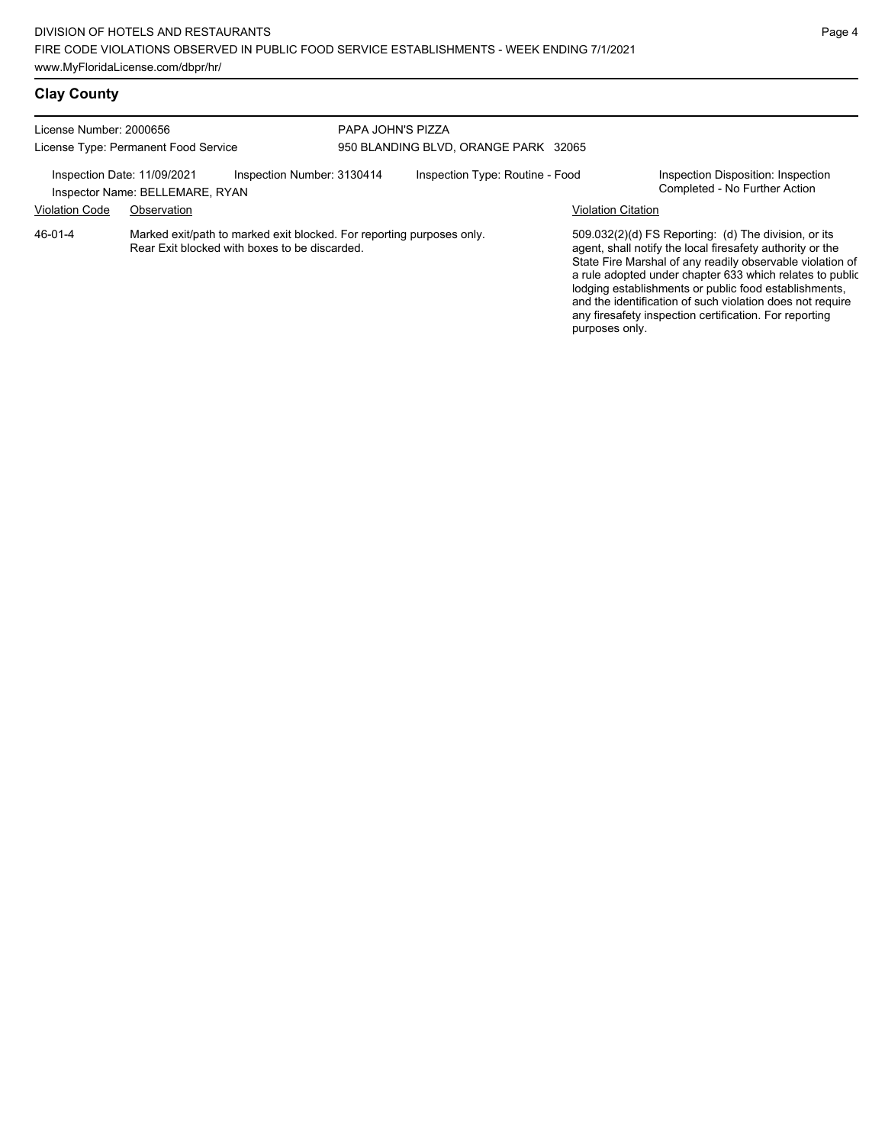## **Clay County**

| License Number: 2000656<br>License Type: Permanent Food Service |                                                                                                                        | PAPA JOHN'S PIZZA          | 950 BLANDING BLVD, ORANGE PARK 32065 |                           |                                                                                                                                                                                                                                                                                                                                                                                                                            |  |
|-----------------------------------------------------------------|------------------------------------------------------------------------------------------------------------------------|----------------------------|--------------------------------------|---------------------------|----------------------------------------------------------------------------------------------------------------------------------------------------------------------------------------------------------------------------------------------------------------------------------------------------------------------------------------------------------------------------------------------------------------------------|--|
| Inspection Date: 11/09/2021<br><b>Violation Code</b>            | Inspector Name: BELLEMARE, RYAN<br>Observation                                                                         | Inspection Number: 3130414 | Inspection Type: Routine - Food      | <b>Violation Citation</b> | Inspection Disposition: Inspection<br>Completed - No Further Action                                                                                                                                                                                                                                                                                                                                                        |  |
| 46-01-4                                                         | Marked exit/path to marked exit blocked. For reporting purposes only.<br>Rear Exit blocked with boxes to be discarded. |                            |                                      | purposes only.            | 509.032(2)(d) FS Reporting: (d) The division, or its<br>agent, shall notify the local firesafety authority or the<br>State Fire Marshal of any readily observable violation of<br>a rule adopted under chapter 633 which relates to public<br>lodging establishments or public food establishments,<br>and the identification of such violation does not require<br>any firesafety inspection certification. For reporting |  |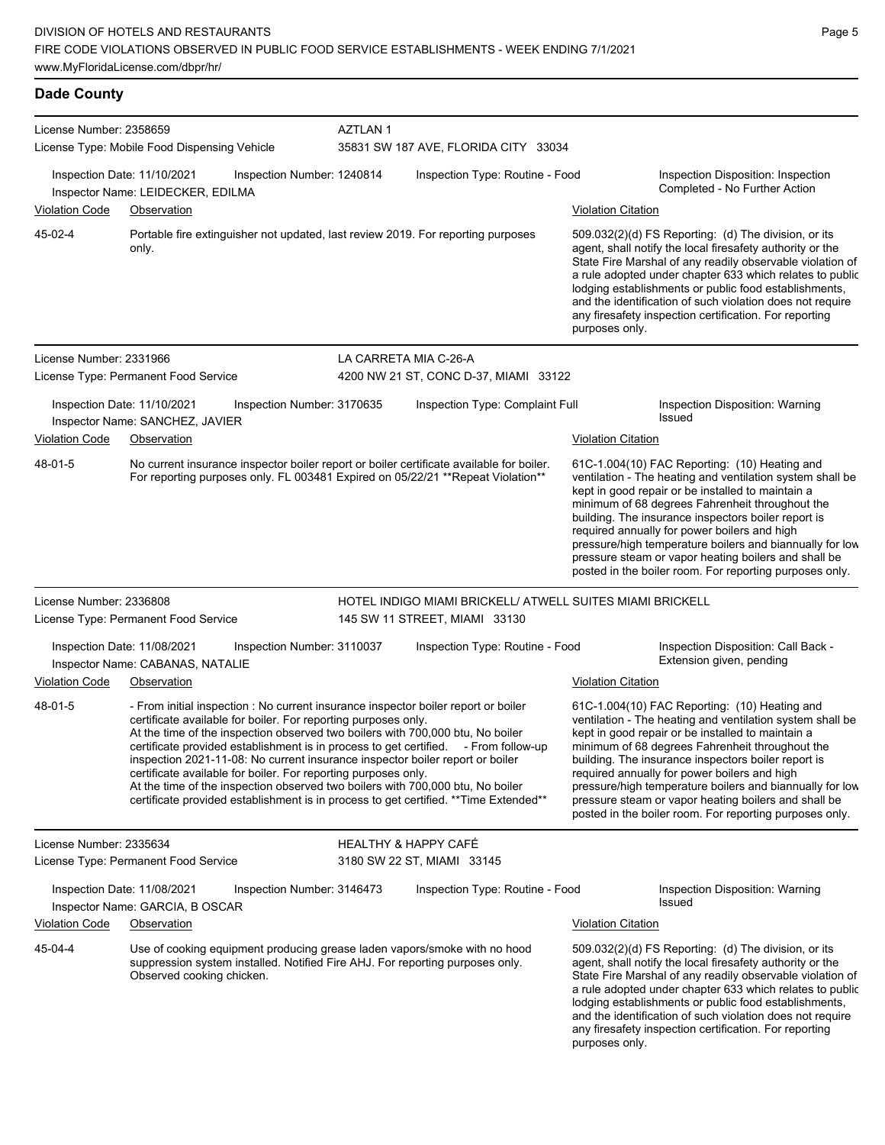| <b>Dade County</b>      |                                                                                                                                                                                                                                                                                                                                                                                                                                                                                                                                                                                                                                                             |                       |                                                                  |                           |                                                                                                                                                                                                                                                                                                                                                                                                                                                                                                          |
|-------------------------|-------------------------------------------------------------------------------------------------------------------------------------------------------------------------------------------------------------------------------------------------------------------------------------------------------------------------------------------------------------------------------------------------------------------------------------------------------------------------------------------------------------------------------------------------------------------------------------------------------------------------------------------------------------|-----------------------|------------------------------------------------------------------|---------------------------|----------------------------------------------------------------------------------------------------------------------------------------------------------------------------------------------------------------------------------------------------------------------------------------------------------------------------------------------------------------------------------------------------------------------------------------------------------------------------------------------------------|
| License Number: 2358659 | License Type: Mobile Food Dispensing Vehicle                                                                                                                                                                                                                                                                                                                                                                                                                                                                                                                                                                                                                | <b>AZTLAN1</b>        | 35831 SW 187 AVE, FLORIDA CITY 33034                             |                           |                                                                                                                                                                                                                                                                                                                                                                                                                                                                                                          |
| <b>Violation Code</b>   | Inspection Date: 11/10/2021<br>Inspection Number: 1240814<br>Inspector Name: LEIDECKER, EDILMA<br>Observation                                                                                                                                                                                                                                                                                                                                                                                                                                                                                                                                               |                       | Inspection Type: Routine - Food                                  | <b>Violation Citation</b> | Inspection Disposition: Inspection<br>Completed - No Further Action                                                                                                                                                                                                                                                                                                                                                                                                                                      |
| 45-02-4                 | Portable fire extinguisher not updated, last review 2019. For reporting purposes<br>only.                                                                                                                                                                                                                                                                                                                                                                                                                                                                                                                                                                   |                       |                                                                  | purposes only.            | 509.032(2)(d) FS Reporting: (d) The division, or its<br>agent, shall notify the local firesafety authority or the<br>State Fire Marshal of any readily observable violation of<br>a rule adopted under chapter 633 which relates to public<br>lodging establishments or public food establishments,<br>and the identification of such violation does not require<br>any firesafety inspection certification. For reporting                                                                               |
| License Number: 2331966 | License Type: Permanent Food Service                                                                                                                                                                                                                                                                                                                                                                                                                                                                                                                                                                                                                        | LA CARRETA MIA C-26-A | 4200 NW 21 ST, CONC D-37, MIAMI 33122                            |                           |                                                                                                                                                                                                                                                                                                                                                                                                                                                                                                          |
| <b>Violation Code</b>   | Inspection Date: 11/10/2021<br>Inspection Number: 3170635<br>Inspector Name: SANCHEZ, JAVIER<br>Observation                                                                                                                                                                                                                                                                                                                                                                                                                                                                                                                                                 |                       | Inspection Type: Complaint Full                                  | <b>Violation Citation</b> | Inspection Disposition: Warning<br><b>Issued</b>                                                                                                                                                                                                                                                                                                                                                                                                                                                         |
| 48-01-5                 | No current insurance inspector boiler report or boiler certificate available for boiler.<br>For reporting purposes only. FL 003481 Expired on 05/22/21 ** Repeat Violation**                                                                                                                                                                                                                                                                                                                                                                                                                                                                                |                       |                                                                  |                           | 61C-1.004(10) FAC Reporting: (10) Heating and<br>ventilation - The heating and ventilation system shall be<br>kept in good repair or be installed to maintain a<br>minimum of 68 degrees Fahrenheit throughout the<br>building. The insurance inspectors boiler report is<br>required annually for power boilers and high<br>pressure/high temperature boilers and biannually for low<br>pressure steam or vapor heating boilers and shall be<br>posted in the boiler room. For reporting purposes only. |
| License Number: 2336808 |                                                                                                                                                                                                                                                                                                                                                                                                                                                                                                                                                                                                                                                             |                       | HOTEL INDIGO MIAMI BRICKELL/ ATWELL SUITES MIAMI BRICKELL        |                           |                                                                                                                                                                                                                                                                                                                                                                                                                                                                                                          |
|                         | License Type: Permanent Food Service<br>Inspection Date: 11/08/2021<br>Inspection Number: 3110037<br>Inspector Name: CABANAS, NATALIE                                                                                                                                                                                                                                                                                                                                                                                                                                                                                                                       |                       | 145 SW 11 STREET, MIAMI 33130<br>Inspection Type: Routine - Food |                           | Inspection Disposition: Call Back -<br>Extension given, pending                                                                                                                                                                                                                                                                                                                                                                                                                                          |
| <b>Violation Code</b>   | Observation                                                                                                                                                                                                                                                                                                                                                                                                                                                                                                                                                                                                                                                 |                       |                                                                  | <b>Violation Citation</b> |                                                                                                                                                                                                                                                                                                                                                                                                                                                                                                          |
| 48-01-5                 | - From initial inspection : No current insurance inspector boiler report or boiler<br>certificate available for boiler. For reporting purposes only.<br>At the time of the inspection observed two boilers with 700,000 btu, No boiler<br>certificate provided establishment is in process to get certified. - From follow-up<br>inspection 2021-11-08: No current insurance inspector boiler report or boiler<br>certificate available for boiler. For reporting purposes only.<br>At the time of the inspection observed two boilers with 700,000 btu, No boiler<br>certificate provided establishment is in process to get certified. ** Time Extended** |                       |                                                                  |                           | 61C-1.004(10) FAC Reporting: (10) Heating and<br>ventilation - The heating and ventilation system shall be<br>kept in good repair or be installed to maintain a<br>minimum of 68 degrees Fahrenheit throughout the<br>building. The insurance inspectors boiler report is<br>required annually for power boilers and high<br>pressure/high temperature boilers and biannually for low<br>pressure steam or vapor heating boilers and shall be<br>posted in the boiler room. For reporting purposes only. |
| License Number: 2335634 | License Type: Permanent Food Service                                                                                                                                                                                                                                                                                                                                                                                                                                                                                                                                                                                                                        |                       | <b>HEALTHY &amp; HAPPY CAFE</b><br>3180 SW 22 ST, MIAMI 33145    |                           |                                                                                                                                                                                                                                                                                                                                                                                                                                                                                                          |
|                         | Inspection Date: 11/08/2021<br>Inspection Number: 3146473<br>Inspector Name: GARCIA, B OSCAR                                                                                                                                                                                                                                                                                                                                                                                                                                                                                                                                                                |                       | Inspection Type: Routine - Food                                  |                           | Inspection Disposition: Warning<br><b>Issued</b>                                                                                                                                                                                                                                                                                                                                                                                                                                                         |
| <b>Violation Code</b>   | Observation                                                                                                                                                                                                                                                                                                                                                                                                                                                                                                                                                                                                                                                 |                       |                                                                  | <b>Violation Citation</b> |                                                                                                                                                                                                                                                                                                                                                                                                                                                                                                          |
| 45-04-4                 | Use of cooking equipment producing grease laden vapors/smoke with no hood<br>suppression system installed. Notified Fire AHJ. For reporting purposes only.<br>Observed cooking chicken.                                                                                                                                                                                                                                                                                                                                                                                                                                                                     |                       |                                                                  | purposes only.            | 509.032(2)(d) FS Reporting: (d) The division, or its<br>agent, shall notify the local firesafety authority or the<br>State Fire Marshal of any readily observable violation of<br>a rule adopted under chapter 633 which relates to public<br>lodging establishments or public food establishments,<br>and the identification of such violation does not require<br>any firesafety inspection certification. For reporting                                                                               |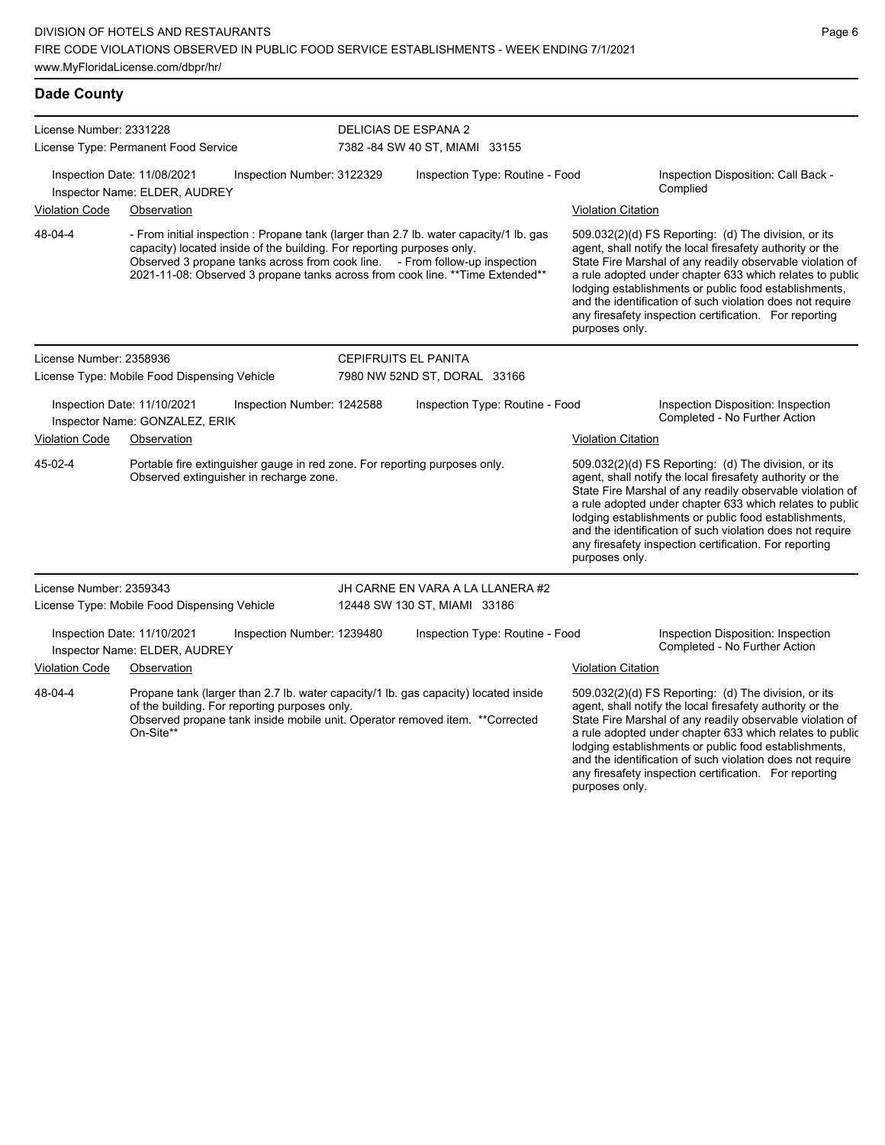### **Dade County**

| License Number: 2331228<br>License Type: Permanent Food Service                             |                                                              | DELICIAS DE ESPANA 2<br>7382 - 84 SW 40 ST, MIAMI 33155                                                                                                                                                                                                                                                                           |                                 |                                  |                                                                     |                                                                                                                                                                                                                                                                                                                                                                                                                            |
|---------------------------------------------------------------------------------------------|--------------------------------------------------------------|-----------------------------------------------------------------------------------------------------------------------------------------------------------------------------------------------------------------------------------------------------------------------------------------------------------------------------------|---------------------------------|----------------------------------|---------------------------------------------------------------------|----------------------------------------------------------------------------------------------------------------------------------------------------------------------------------------------------------------------------------------------------------------------------------------------------------------------------------------------------------------------------------------------------------------------------|
|                                                                                             | Inspection Date: 11/08/2021<br>Inspector Name: ELDER, AUDREY | Inspection Number: 3122329                                                                                                                                                                                                                                                                                                        | Inspection Type: Routine - Food |                                  | Inspection Disposition: Call Back -<br>Complied                     |                                                                                                                                                                                                                                                                                                                                                                                                                            |
| <b>Violation Code</b>                                                                       | Observation                                                  |                                                                                                                                                                                                                                                                                                                                   |                                 |                                  | <b>Violation Citation</b>                                           |                                                                                                                                                                                                                                                                                                                                                                                                                            |
| 48-04-4                                                                                     |                                                              | - From initial inspection : Propane tank (larger than 2.7 lb. water capacity/1 lb. gas<br>capacity) located inside of the building. For reporting purposes only.<br>Observed 3 propane tanks across from cook line. - From follow-up inspection<br>2021-11-08: Observed 3 propane tanks across from cook line. ** Time Extended** |                                 |                                  | purposes only.                                                      | 509.032(2)(d) FS Reporting: (d) The division, or its<br>agent, shall notify the local firesafety authority or the<br>State Fire Marshal of any readily observable violation of<br>a rule adopted under chapter 633 which relates to public<br>lodging establishments or public food establishments,<br>and the identification of such violation does not require<br>any firesafety inspection certification. For reporting |
| License Number: 2358936                                                                     |                                                              |                                                                                                                                                                                                                                                                                                                                   | CEPIFRUITS EL PANITA            |                                  |                                                                     |                                                                                                                                                                                                                                                                                                                                                                                                                            |
|                                                                                             | License Type: Mobile Food Dispensing Vehicle                 |                                                                                                                                                                                                                                                                                                                                   | 7980 NW 52ND ST, DORAL 33166    |                                  |                                                                     |                                                                                                                                                                                                                                                                                                                                                                                                                            |
| Inspection Date: 11/10/2021<br>Inspection Number: 1242588<br>Inspector Name: GONZALEZ, ERIK |                                                              |                                                                                                                                                                                                                                                                                                                                   | Inspection Type: Routine - Food |                                  | Inspection Disposition: Inspection<br>Completed - No Further Action |                                                                                                                                                                                                                                                                                                                                                                                                                            |
| <b>Violation Code</b>                                                                       | Observation                                                  |                                                                                                                                                                                                                                                                                                                                   |                                 |                                  | <u>Violation Citation</u>                                           |                                                                                                                                                                                                                                                                                                                                                                                                                            |
| 45-02-4                                                                                     |                                                              | Portable fire extinguisher gauge in red zone. For reporting purposes only.<br>Observed extinguisher in recharge zone.                                                                                                                                                                                                             |                                 |                                  | purposes only.                                                      | 509.032(2)(d) FS Reporting: (d) The division, or its<br>agent, shall notify the local firesafety authority or the<br>State Fire Marshal of any readily observable violation of<br>a rule adopted under chapter 633 which relates to public<br>lodging establishments or public food establishments,<br>and the identification of such violation does not require<br>any firesafety inspection certification. For reporting |
| License Number: 2359343                                                                     |                                                              |                                                                                                                                                                                                                                                                                                                                   |                                 | JH CARNE EN VARA A LA LLANERA #2 |                                                                     |                                                                                                                                                                                                                                                                                                                                                                                                                            |
|                                                                                             | License Type: Mobile Food Dispensing Vehicle                 |                                                                                                                                                                                                                                                                                                                                   | 12448 SW 130 ST, MIAMI 33186    |                                  |                                                                     |                                                                                                                                                                                                                                                                                                                                                                                                                            |
|                                                                                             | Inspection Date: 11/10/2021<br>Inspector Name: ELDER, AUDREY | Inspection Number: 1239480                                                                                                                                                                                                                                                                                                        |                                 | Inspection Type: Routine - Food  |                                                                     | Inspection Disposition: Inspection<br>Completed - No Further Action                                                                                                                                                                                                                                                                                                                                                        |
| <b>Violation Code</b>                                                                       | Observation                                                  |                                                                                                                                                                                                                                                                                                                                   |                                 |                                  | <b>Violation Citation</b>                                           |                                                                                                                                                                                                                                                                                                                                                                                                                            |
| 48-04-4                                                                                     | On-Site**                                                    | Propane tank (larger than 2.7 lb. water capacity/1 lb. gas capacity) located inside<br>of the building. For reporting purposes only.<br>Observed propane tank inside mobile unit. Operator removed item. ** Corrected                                                                                                             |                                 |                                  |                                                                     | $509.032(2)(d)$ FS Reporting: (d) The division, or its<br>agent, shall notify the local firesafety authority or the<br>State Fire Marshal of any readily observable violation of<br>a rule adopted under chapter 633 which relates to public<br>lodging establishments or public food establishments,<br>and the identification of such violation does not require                                                         |

any firesafety inspection certification. For reporting

purposes only.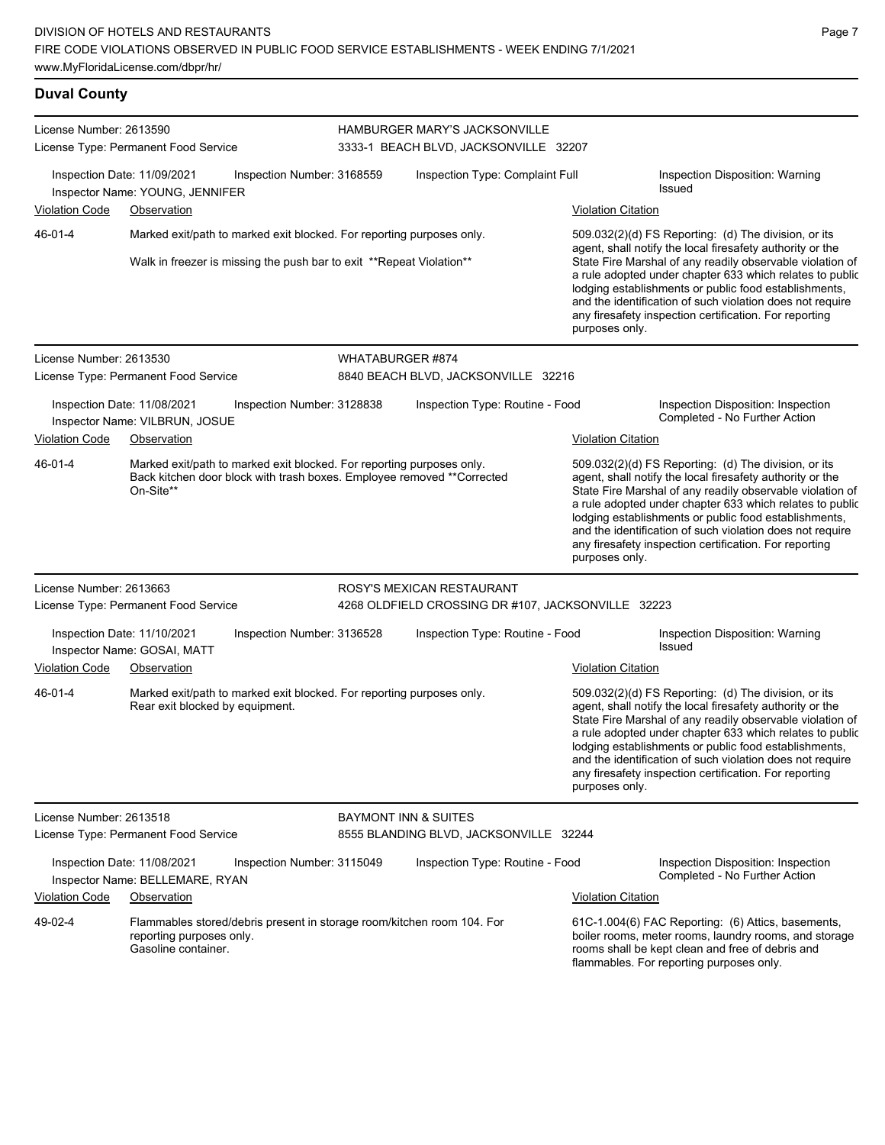| <b>Duval County</b>                                                  |                                                                                                                                                               |                                 |                                                                        |                                                                                                                                                                                                                                                                                                                                                                                      |                                                                                                                                                                                                                                                                                                                                                                                                                            |
|----------------------------------------------------------------------|---------------------------------------------------------------------------------------------------------------------------------------------------------------|---------------------------------|------------------------------------------------------------------------|--------------------------------------------------------------------------------------------------------------------------------------------------------------------------------------------------------------------------------------------------------------------------------------------------------------------------------------------------------------------------------------|----------------------------------------------------------------------------------------------------------------------------------------------------------------------------------------------------------------------------------------------------------------------------------------------------------------------------------------------------------------------------------------------------------------------------|
| License Number: 2613590                                              | License Type: Permanent Food Service                                                                                                                          |                                 | HAMBURGER MARY'S JACKSONVILLE<br>3333-1 BEACH BLVD, JACKSONVILLE 32207 |                                                                                                                                                                                                                                                                                                                                                                                      |                                                                                                                                                                                                                                                                                                                                                                                                                            |
|                                                                      | Inspection Date: 11/09/2021<br>Inspection Number: 3168559<br>Inspector Name: YOUNG, JENNIFER                                                                  |                                 | Inspection Type: Complaint Full                                        |                                                                                                                                                                                                                                                                                                                                                                                      | Inspection Disposition: Warning<br><b>Issued</b>                                                                                                                                                                                                                                                                                                                                                                           |
| <b>Violation Code</b>                                                | Observation                                                                                                                                                   |                                 |                                                                        | <b>Violation Citation</b>                                                                                                                                                                                                                                                                                                                                                            |                                                                                                                                                                                                                                                                                                                                                                                                                            |
| 46-01-4                                                              | Marked exit/path to marked exit blocked. For reporting purposes only.                                                                                         |                                 |                                                                        |                                                                                                                                                                                                                                                                                                                                                                                      | 509.032(2)(d) FS Reporting: (d) The division, or its                                                                                                                                                                                                                                                                                                                                                                       |
| Walk in freezer is missing the push bar to exit **Repeat Violation** |                                                                                                                                                               |                                 |                                                                        | agent, shall notify the local firesafety authority or the<br>State Fire Marshal of any readily observable violation of<br>a rule adopted under chapter 633 which relates to public<br>lodging establishments or public food establishments,<br>and the identification of such violation does not require<br>any firesafety inspection certification. For reporting<br>purposes only. |                                                                                                                                                                                                                                                                                                                                                                                                                            |
| License Number: 2613530                                              |                                                                                                                                                               | WHATABURGER #874                |                                                                        |                                                                                                                                                                                                                                                                                                                                                                                      |                                                                                                                                                                                                                                                                                                                                                                                                                            |
|                                                                      | License Type: Permanent Food Service                                                                                                                          |                                 | 8840 BEACH BLVD, JACKSONVILLE 32216                                    |                                                                                                                                                                                                                                                                                                                                                                                      |                                                                                                                                                                                                                                                                                                                                                                                                                            |
|                                                                      | Inspection Date: 11/08/2021<br>Inspection Number: 3128838<br>Inspector Name: VILBRUN, JOSUE                                                                   |                                 | Inspection Type: Routine - Food                                        |                                                                                                                                                                                                                                                                                                                                                                                      | Inspection Disposition: Inspection<br>Completed - No Further Action                                                                                                                                                                                                                                                                                                                                                        |
| <b>Violation Code</b>                                                | Observation                                                                                                                                                   |                                 |                                                                        | <b>Violation Citation</b>                                                                                                                                                                                                                                                                                                                                                            |                                                                                                                                                                                                                                                                                                                                                                                                                            |
| 46-01-4                                                              | Marked exit/path to marked exit blocked. For reporting purposes only.<br>Back kitchen door block with trash boxes. Employee removed ** Corrected<br>On-Site** |                                 |                                                                        | purposes only.                                                                                                                                                                                                                                                                                                                                                                       | 509.032(2)(d) FS Reporting: (d) The division, or its<br>agent, shall notify the local firesafety authority or the<br>State Fire Marshal of any readily observable violation of<br>a rule adopted under chapter 633 which relates to public<br>lodging establishments or public food establishments,<br>and the identification of such violation does not require<br>any firesafety inspection certification. For reporting |
| License Number: 2613663                                              |                                                                                                                                                               |                                 | ROSY'S MEXICAN RESTAURANT                                              |                                                                                                                                                                                                                                                                                                                                                                                      |                                                                                                                                                                                                                                                                                                                                                                                                                            |
|                                                                      | License Type: Permanent Food Service                                                                                                                          |                                 | 4268 OLDFIELD CROSSING DR #107, JACKSONVILLE 32223                     |                                                                                                                                                                                                                                                                                                                                                                                      |                                                                                                                                                                                                                                                                                                                                                                                                                            |
| <b>Violation Code</b>                                                | Inspection Date: 11/10/2021<br>Inspection Number: 3136528<br>Inspector Name: GOSAI, MATT<br>Observation                                                       |                                 | Inspection Type: Routine - Food                                        | <b>Violation Citation</b>                                                                                                                                                                                                                                                                                                                                                            | Inspection Disposition: Warning<br><b>Issued</b>                                                                                                                                                                                                                                                                                                                                                                           |
| 46-01-4                                                              | Marked exit/path to marked exit blocked. For reporting purposes only.<br>Rear exit blocked by equipment.                                                      |                                 |                                                                        | purposes only.                                                                                                                                                                                                                                                                                                                                                                       | 509.032(2)(d) FS Reporting: (d) The division, or its<br>agent, shall notify the local firesafety authority or the<br>State Fire Marshal of any readily observable violation of<br>a rule adopted under chapter 633 which relates to public<br>lodging establishments or public food establishments,<br>and the identification of such violation does not require<br>any firesafety inspection certification. For reporting |
| License Number: 2613518                                              |                                                                                                                                                               | <b>BAYMONT INN &amp; SUITES</b> |                                                                        |                                                                                                                                                                                                                                                                                                                                                                                      |                                                                                                                                                                                                                                                                                                                                                                                                                            |
|                                                                      | License Type: Permanent Food Service                                                                                                                          |                                 | 8555 BLANDING BLVD, JACKSONVILLE 32244                                 |                                                                                                                                                                                                                                                                                                                                                                                      |                                                                                                                                                                                                                                                                                                                                                                                                                            |
|                                                                      | Inspection Date: 11/08/2021<br>Inspection Number: 3115049<br>Inspector Name: BELLEMARE, RYAN                                                                  |                                 | Inspection Type: Routine - Food                                        |                                                                                                                                                                                                                                                                                                                                                                                      | Inspection Disposition: Inspection<br>Completed - No Further Action                                                                                                                                                                                                                                                                                                                                                        |
| <b>Violation Code</b>                                                | Observation                                                                                                                                                   |                                 |                                                                        | <b>Violation Citation</b>                                                                                                                                                                                                                                                                                                                                                            |                                                                                                                                                                                                                                                                                                                                                                                                                            |
| 49-02-4                                                              | Flammables stored/debris present in storage room/kitchen room 104. For<br>reporting purposes only.<br>Gasoline container.                                     |                                 |                                                                        |                                                                                                                                                                                                                                                                                                                                                                                      | 61C-1.004(6) FAC Reporting: (6) Attics, basements,<br>boiler rooms, meter rooms, laundry rooms, and storage<br>rooms shall be kept clean and free of debris and                                                                                                                                                                                                                                                            |

flammables. For reporting purposes only.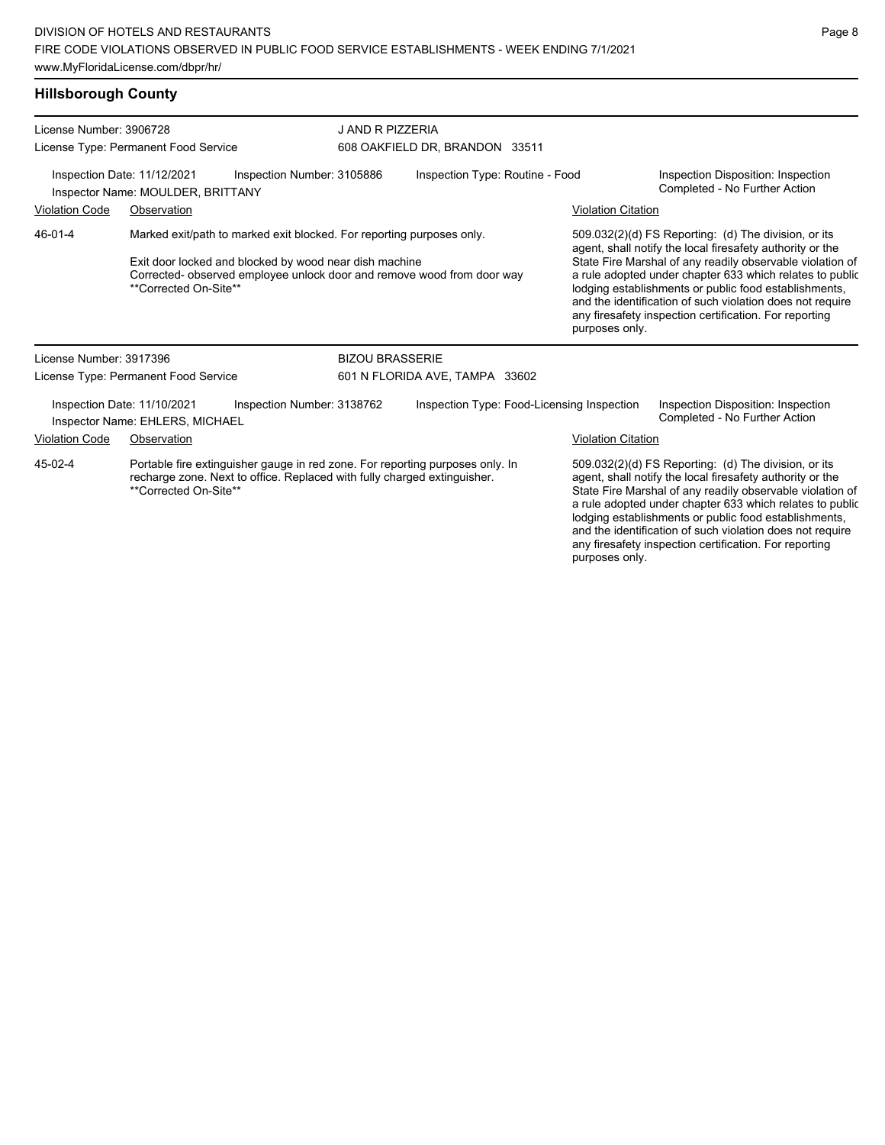**Hillsborough County**

| License Number: 3906728<br>License Type: Permanent Food Service                                                                                                                               |                                                                  |                                                                                                                                                                                                           |                        | J AND R PIZZERIA<br>608 OAKFIELD DR, BRANDON 33511 |  |                           |                                                                                                                                                                                                                                                                                                                                                                                                                            |  |
|-----------------------------------------------------------------------------------------------------------------------------------------------------------------------------------------------|------------------------------------------------------------------|-----------------------------------------------------------------------------------------------------------------------------------------------------------------------------------------------------------|------------------------|----------------------------------------------------|--|---------------------------|----------------------------------------------------------------------------------------------------------------------------------------------------------------------------------------------------------------------------------------------------------------------------------------------------------------------------------------------------------------------------------------------------------------------------|--|
|                                                                                                                                                                                               | Inspection Date: 11/12/2021<br>Inspector Name: MOULDER, BRITTANY | Inspection Number: 3105886                                                                                                                                                                                |                        | Inspection Type: Routine - Food                    |  |                           | Inspection Disposition: Inspection<br>Completed - No Further Action                                                                                                                                                                                                                                                                                                                                                        |  |
| <b>Violation Code</b>                                                                                                                                                                         | Observation                                                      |                                                                                                                                                                                                           |                        |                                                    |  | <b>Violation Citation</b> |                                                                                                                                                                                                                                                                                                                                                                                                                            |  |
| 46-01-4                                                                                                                                                                                       | **Corrected On-Site**                                            | Marked exit/path to marked exit blocked. For reporting purposes only.<br>Exit door locked and blocked by wood near dish machine<br>Corrected- observed employee unlock door and remove wood from door way |                        |                                                    |  | purposes only.            | 509.032(2)(d) FS Reporting: (d) The division, or its<br>agent, shall notify the local firesafety authority or the<br>State Fire Marshal of any readily observable violation of<br>a rule adopted under chapter 633 which relates to public<br>lodging establishments or public food establishments,<br>and the identification of such violation does not require<br>any firesafety inspection certification. For reporting |  |
| License Number: 3917396                                                                                                                                                                       |                                                                  |                                                                                                                                                                                                           | <b>BIZOU BRASSERIE</b> |                                                    |  |                           |                                                                                                                                                                                                                                                                                                                                                                                                                            |  |
|                                                                                                                                                                                               | License Type: Permanent Food Service                             |                                                                                                                                                                                                           |                        | 601 N FLORIDA AVE, TAMPA 33602                     |  |                           |                                                                                                                                                                                                                                                                                                                                                                                                                            |  |
|                                                                                                                                                                                               | Inspection Date: 11/10/2021<br>Inspector Name: EHLERS, MICHAEL   | Inspection Number: 3138762                                                                                                                                                                                |                        | Inspection Type: Food-Licensing Inspection         |  |                           | Inspection Disposition: Inspection<br>Completed - No Further Action                                                                                                                                                                                                                                                                                                                                                        |  |
| <b>Violation Code</b><br>Observation                                                                                                                                                          |                                                                  |                                                                                                                                                                                                           |                        |                                                    |  | <b>Violation Citation</b> |                                                                                                                                                                                                                                                                                                                                                                                                                            |  |
| 45-02-4<br>Portable fire extinguisher gauge in red zone. For reporting purposes only. In<br>recharge zone. Next to office. Replaced with fully charged extinguisher.<br>**Corrected On-Site** |                                                                  |                                                                                                                                                                                                           |                        |                                                    |  |                           | 509.032(2)(d) FS Reporting: (d) The division, or its<br>agent, shall notify the local firesafety authority or the<br>State Fire Marshal of any readily observable violation of<br>a rule adopted under chapter 633 which relates to public<br>lodging establishments or public food establishments,<br>and the identification of such violation does not require                                                           |  |

any firesafety inspection certification. For reporting

purposes only.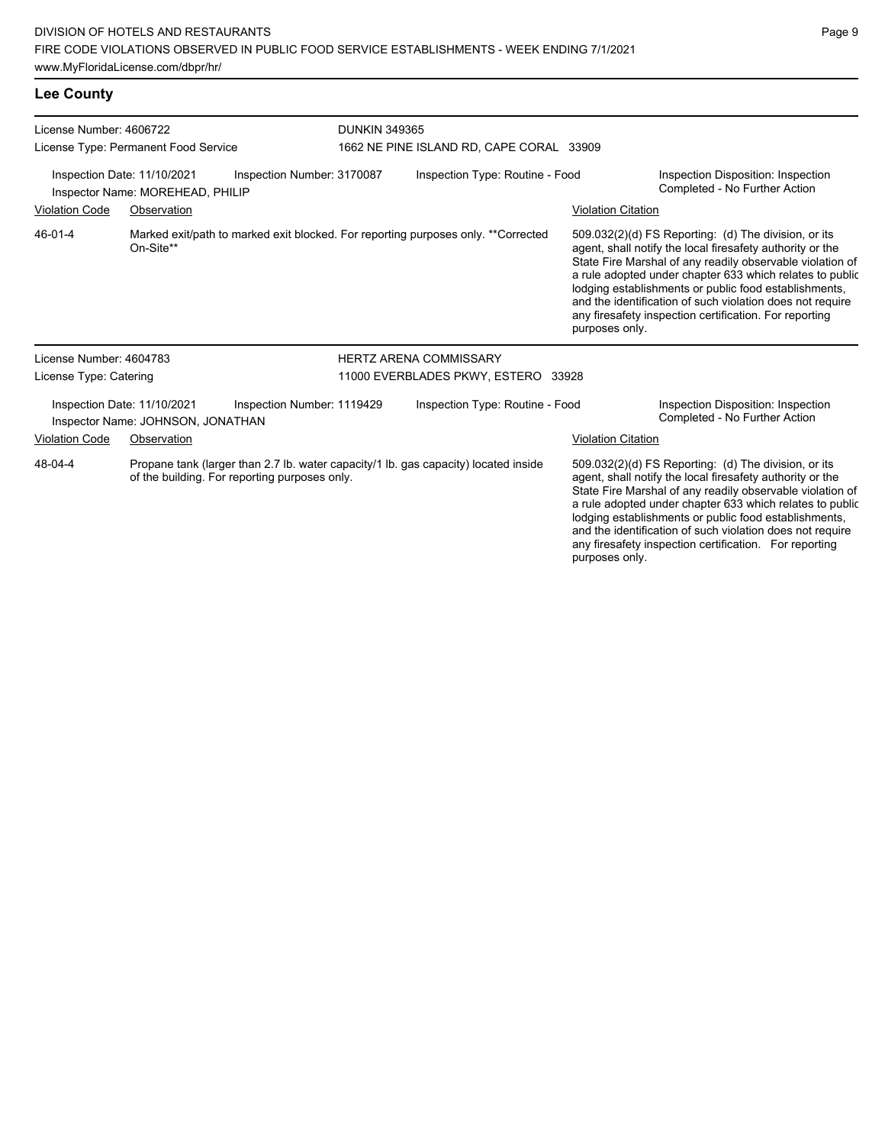**Lee County**

| License Number: 4606722<br>License Type: Permanent Food Service |                                                                  | <b>DUNKIN 349365</b><br>1662 NE PINE ISLAND RD, CAPE CORAL 33909                                                                     |  |                                     |  |                           |                                                                                                                                                                                                                                                                                                                                                                                                                            |
|-----------------------------------------------------------------|------------------------------------------------------------------|--------------------------------------------------------------------------------------------------------------------------------------|--|-------------------------------------|--|---------------------------|----------------------------------------------------------------------------------------------------------------------------------------------------------------------------------------------------------------------------------------------------------------------------------------------------------------------------------------------------------------------------------------------------------------------------|
|                                                                 | Inspection Date: 11/10/2021<br>Inspector Name: MOREHEAD, PHILIP  | Inspection Number: 3170087                                                                                                           |  | Inspection Type: Routine - Food     |  |                           | Inspection Disposition: Inspection<br>Completed - No Further Action                                                                                                                                                                                                                                                                                                                                                        |
| <b>Violation Code</b>                                           | Observation                                                      |                                                                                                                                      |  |                                     |  | <b>Violation Citation</b> |                                                                                                                                                                                                                                                                                                                                                                                                                            |
| 46-01-4                                                         | On-Site**                                                        | Marked exit/path to marked exit blocked. For reporting purposes only. **Corrected                                                    |  |                                     |  | purposes only.            | 509.032(2)(d) FS Reporting: (d) The division, or its<br>agent, shall notify the local firesafety authority or the<br>State Fire Marshal of any readily observable violation of<br>a rule adopted under chapter 633 which relates to public<br>lodging establishments or public food establishments,<br>and the identification of such violation does not require<br>any firesafety inspection certification. For reporting |
| License Number: 4604783                                         |                                                                  |                                                                                                                                      |  | <b>HERTZ ARENA COMMISSARY</b>       |  |                           |                                                                                                                                                                                                                                                                                                                                                                                                                            |
| License Type: Catering                                          |                                                                  |                                                                                                                                      |  | 11000 EVERBLADES PKWY, ESTERO 33928 |  |                           |                                                                                                                                                                                                                                                                                                                                                                                                                            |
|                                                                 | Inspection Date: 11/10/2021<br>Inspector Name: JOHNSON, JONATHAN | Inspection Number: 1119429                                                                                                           |  | Inspection Type: Routine - Food     |  |                           | Inspection Disposition: Inspection<br>Completed - No Further Action                                                                                                                                                                                                                                                                                                                                                        |
| Violation Code                                                  | Observation                                                      |                                                                                                                                      |  |                                     |  | <b>Violation Citation</b> |                                                                                                                                                                                                                                                                                                                                                                                                                            |
| 48-04-4                                                         |                                                                  | Propane tank (larger than 2.7 lb. water capacity/1 lb. gas capacity) located inside<br>of the building. For reporting purposes only. |  |                                     |  |                           | 509.032(2)(d) FS Reporting: (d) The division, or its<br>agent, shall notify the local firesafety authority or the<br>State Fire Marshal of any readily observable violation of<br>a rule adopted under chapter 633 which relates to public<br>lodging establishments or public food establishments,<br>and the identification of such violation does not require<br>any firesafety inspection certification. For reporting |

purposes only.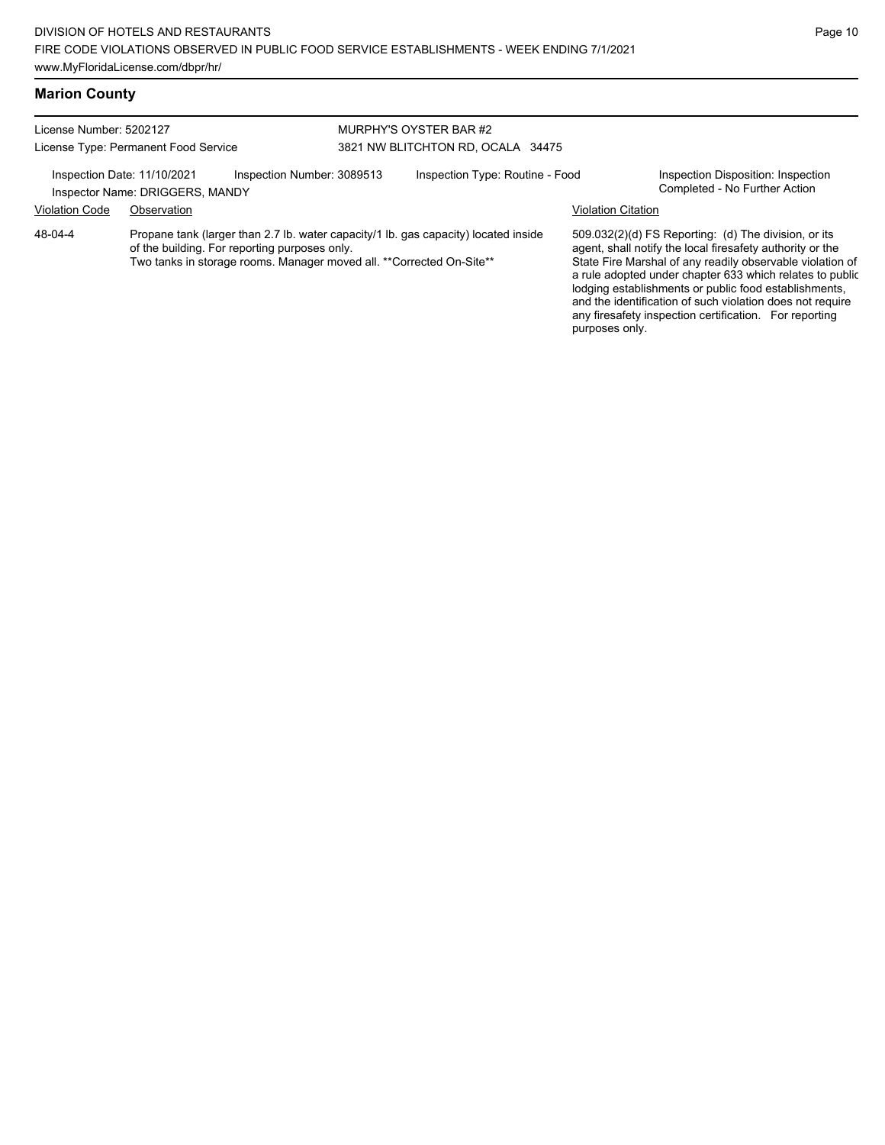#### **Marion County**

License Number: 5202127 License Type: Permanent Food Service MURPHY'S OYSTER BAR #2 3821 NW BLITCHTON RD, OCALA 34475 Inspection Date: 11/10/2021 Inspection Number: 3089513 Inspection Type: Routine - Food Inspection Disposition: Inspection<br>Inspector Name: DRIGGERS MANDY Inspector Name: DRIGGERS, MANDY Violation Code Observation Violation Citation

Propane tank (larger than 2.7 lb. water capacity/1 lb. gas capacity) located inside of the building. For reporting purposes only. Two tanks in storage rooms. Manager moved all. \*\*Corrected On-Site\*\* 48-04-4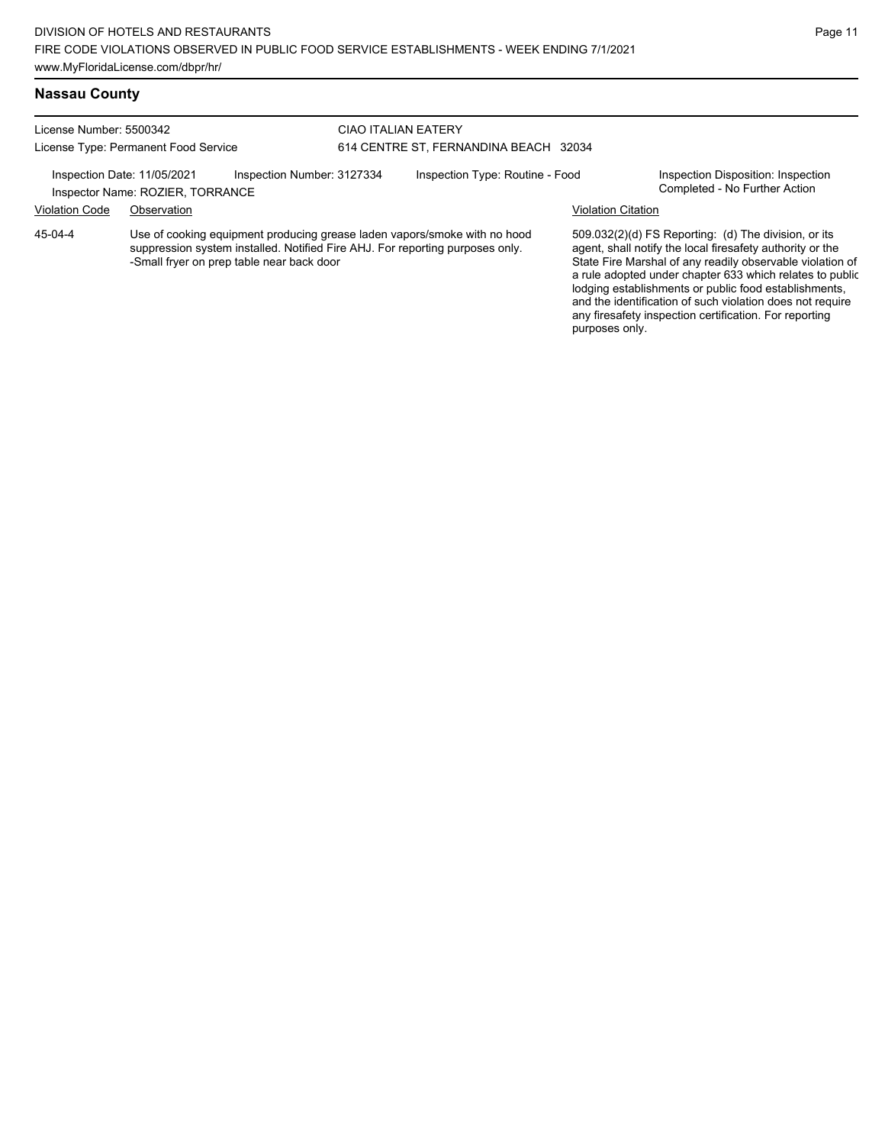#### **Nassau County**

License Number: 5500342 License Type: Permanent Food Service

### CIAO ITALIAN EATERY 614 CENTRE ST, FERNANDINA BEACH 32034

Inspection Date: 11/05/2021 Inspection Number: 3127334 Inspection Type: Routine - Food Inspection Disposition: Inspection<br>Inspector Name: ROZIER\_TORRANCE

#### Inspector Name: ROZIER, TORRANCE Violation Code Observation Violation Citation

Use of cooking equipment producing grease laden vapors/smoke with no hood suppression system installed. Notified Fire AHJ. For reporting purposes only. -Small fryer on prep table near back door 45-04-4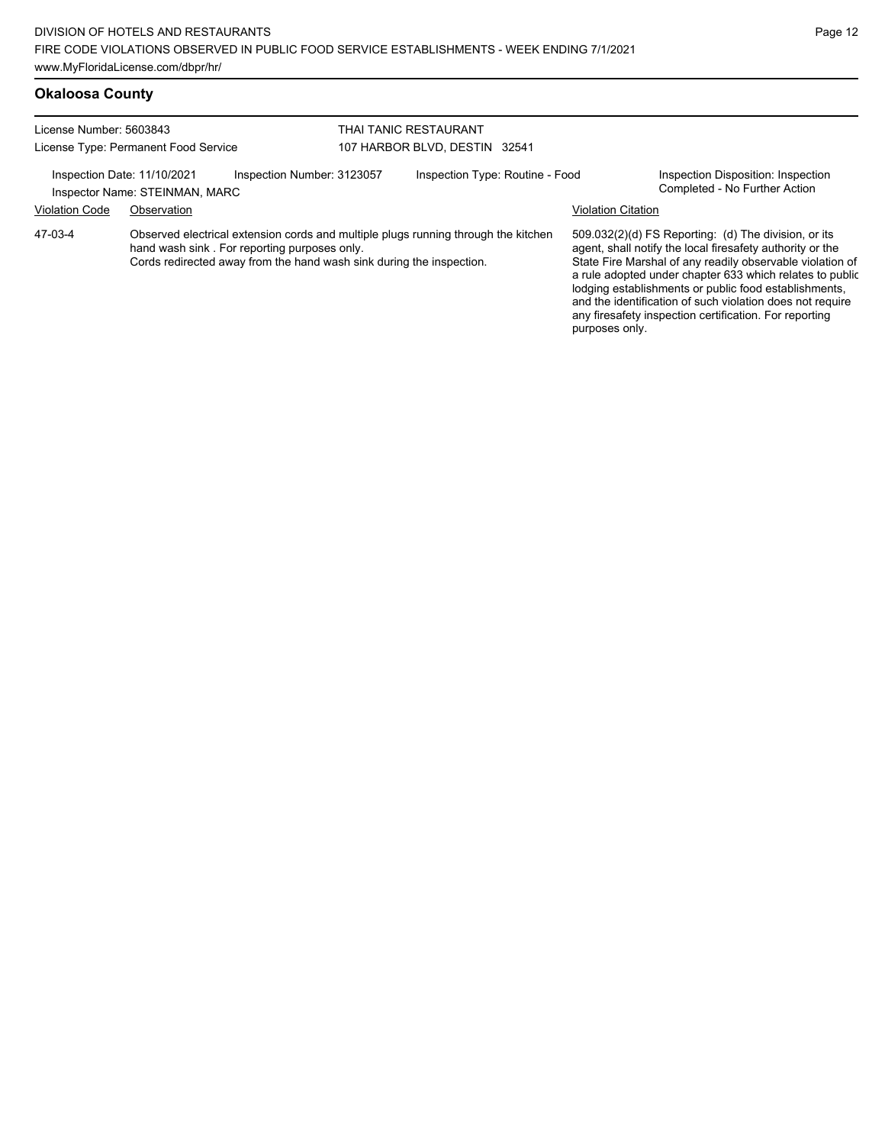#### **Okaloosa County**

| License Number: 5603843<br>License Type: Permanent Food Service |                                                               | THAI TANIC RESTAURANT<br>107 HARBOR BLVD, DESTIN 32541                                                               |  |                                                                                    |                           |                                                                                                                                                                                |
|-----------------------------------------------------------------|---------------------------------------------------------------|----------------------------------------------------------------------------------------------------------------------|--|------------------------------------------------------------------------------------|---------------------------|--------------------------------------------------------------------------------------------------------------------------------------------------------------------------------|
|                                                                 | Inspection Date: 11/10/2021<br>Inspector Name: STEINMAN, MARC | Inspection Number: 3123057                                                                                           |  | Inspection Type: Routine - Food                                                    |                           | Inspection Disposition: Inspection<br>Completed - No Further Action                                                                                                            |
| <b>Violation Code</b>                                           | Observation                                                   |                                                                                                                      |  |                                                                                    | <b>Violation Citation</b> |                                                                                                                                                                                |
| 47-03-4                                                         |                                                               | hand wash sink. For reporting purposes only.<br>Cords redirected away from the hand wash sink during the inspection. |  | Observed electrical extension cords and multiple plugs running through the kitchen |                           | 509.032(2)(d) FS Reporting: (d) The division, or its<br>agent, shall notify the local firesafety authority or the<br>State Fire Marshal of any readily observable violation of |

State Fire Marshal of any readily observable violation of a rule adopted under chapter 633 which relates to public lodging establishments or public food establishments, and the identification of such violation does not require any firesafety inspection certification. For reporting purposes only.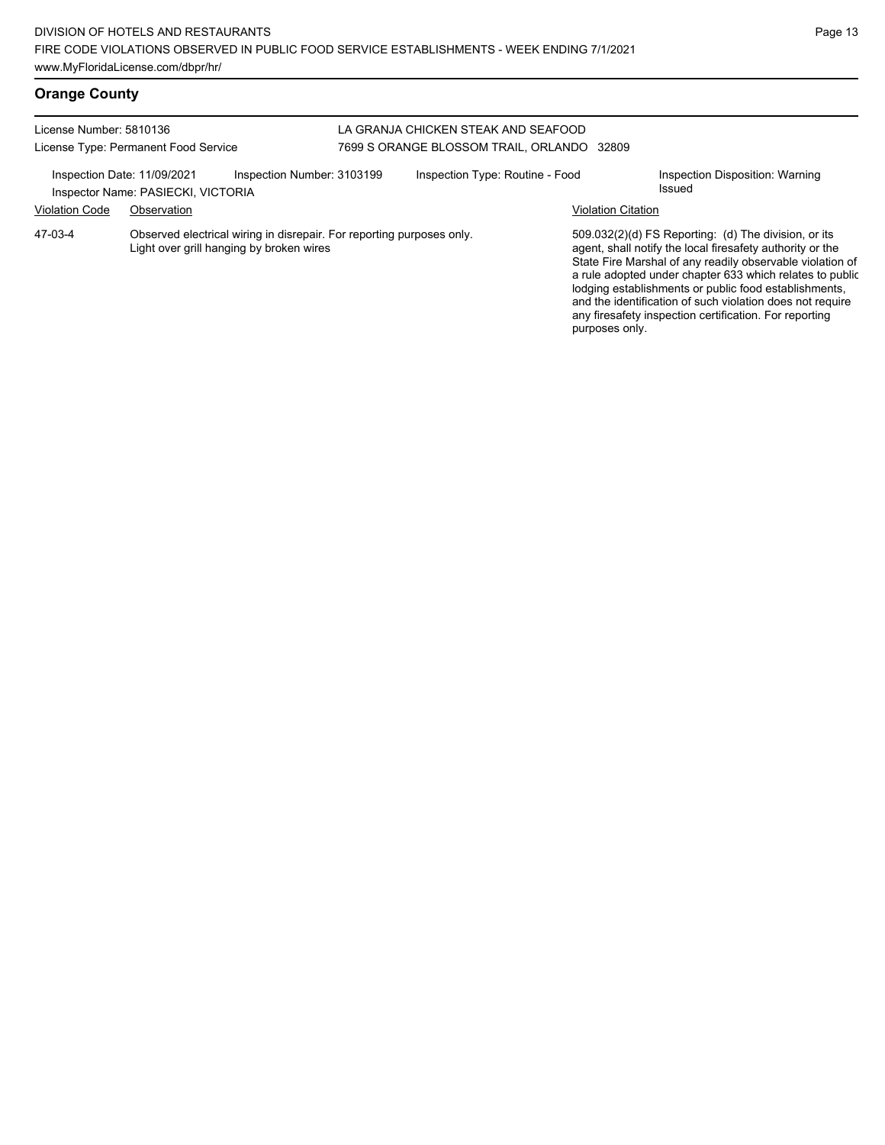## **Orange County**

| License Number: 5810136     |                                                                                                                   | LA GRANJA CHICKEN STEAK AND SEAFOOD        |                           |                                                                                                                                                                                                                                                                                                                                                                                                                              |
|-----------------------------|-------------------------------------------------------------------------------------------------------------------|--------------------------------------------|---------------------------|------------------------------------------------------------------------------------------------------------------------------------------------------------------------------------------------------------------------------------------------------------------------------------------------------------------------------------------------------------------------------------------------------------------------------|
|                             | License Type: Permanent Food Service                                                                              | 7699 S ORANGE BLOSSOM TRAIL, ORLANDO 32809 |                           |                                                                                                                                                                                                                                                                                                                                                                                                                              |
| Inspection Date: 11/09/2021 | Inspection Number: 3103199<br>Inspector Name: PASIECKI, VICTORIA                                                  | Inspection Type: Routine - Food            |                           | Inspection Disposition: Warning<br>Issued                                                                                                                                                                                                                                                                                                                                                                                    |
| <b>Violation Code</b>       | Observation                                                                                                       |                                            | <b>Violation Citation</b> |                                                                                                                                                                                                                                                                                                                                                                                                                              |
| 47-03-4                     | Observed electrical wiring in disrepair. For reporting purposes only.<br>Light over grill hanging by broken wires |                                            | purposes only.            | $509.032(2)(d)$ FS Reporting: (d) The division, or its<br>agent, shall notify the local firesafety authority or the<br>State Fire Marshal of any readily observable violation of<br>a rule adopted under chapter 633 which relates to public<br>lodging establishments or public food establishments,<br>and the identification of such violation does not require<br>any firesafety inspection certification. For reporting |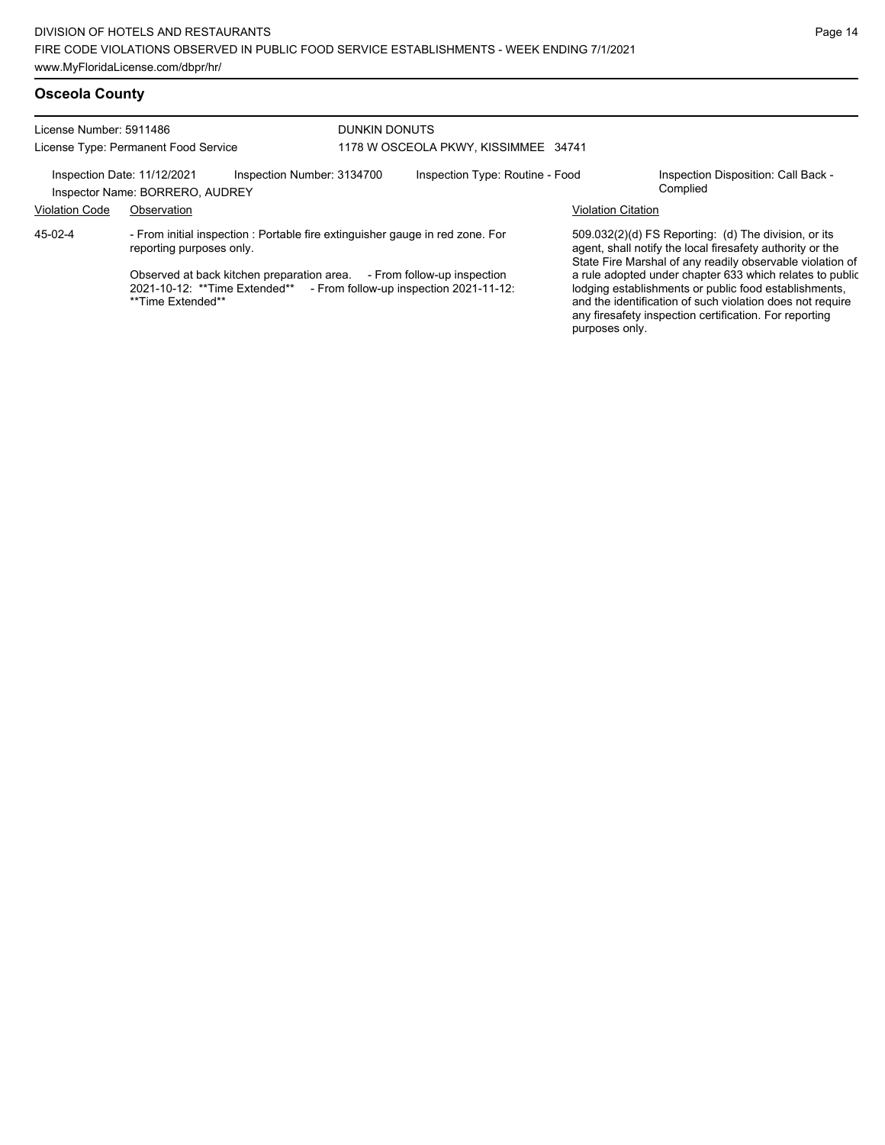License Number: 5911486 License Type: Permanent Food Service

#### DUNKIN DONUTS 1178 W OSCEOLA PKWY, KISSIMMEE 34741

Inspection Date: 11/12/2021 Inspection Number: 3134700 Inspection Type: Routine - Food Inspection Disposition: Call Back -<br>Inspector Name: BORRERO AUDREY

Inspector Name: BORRERO, AUDREY

Violation Code Observation Violation Citation

- From initial inspection : Portable fire extinguisher gauge in red zone. For reporting purposes only. 45-02-4

> Observed at back kitchen preparation area. - From follow-up inspection 2021-10-12: \*\*Time Extended\*\* - From follow-up inspection 2021-11-12: \*\*Time Extended\*\*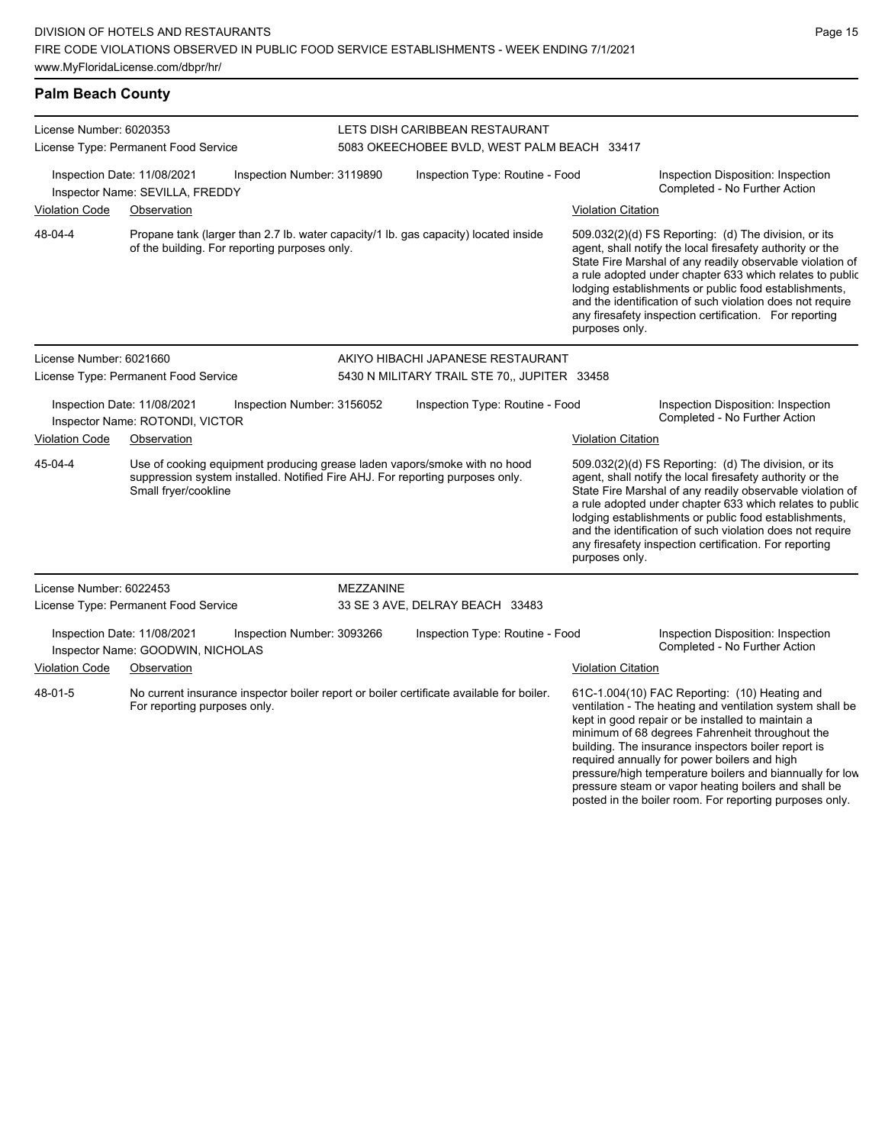**Palm Beach County**

| License Number: 6020353                                                                                                              |                                                                                 |                                               |                  | LETS DISH CARIBBEAN RESTAURANT                                                                                                                             |                                             |                                                                                                                                                                                                                                                                                                                                                                                                                            |
|--------------------------------------------------------------------------------------------------------------------------------------|---------------------------------------------------------------------------------|-----------------------------------------------|------------------|------------------------------------------------------------------------------------------------------------------------------------------------------------|---------------------------------------------|----------------------------------------------------------------------------------------------------------------------------------------------------------------------------------------------------------------------------------------------------------------------------------------------------------------------------------------------------------------------------------------------------------------------------|
| License Type: Permanent Food Service<br>Inspection Date: 11/08/2021<br>Inspection Number: 3119890<br>Inspector Name: SEVILLA, FREDDY |                                                                                 |                                               |                  | 5083 OKEECHOBEE BVLD, WEST PALM BEACH 33417<br>Inspection Type: Routine - Food                                                                             |                                             | Inspection Disposition: Inspection<br>Completed - No Further Action                                                                                                                                                                                                                                                                                                                                                        |
| <b>Violation Code</b><br>48-04-4                                                                                                     | Observation                                                                     | of the building. For reporting purposes only. |                  | Propane tank (larger than 2.7 lb. water capacity/1 lb. gas capacity) located inside                                                                        | <b>Violation Citation</b><br>purposes only. | 509.032(2)(d) FS Reporting: (d) The division, or its<br>agent, shall notify the local firesafety authority or the<br>State Fire Marshal of any readily observable violation of<br>a rule adopted under chapter 633 which relates to public<br>lodging establishments or public food establishments,<br>and the identification of such violation does not require<br>any firesafety inspection certification. For reporting |
| License Number: 6021660                                                                                                              | License Type: Permanent Food Service                                            |                                               |                  | AKIYO HIBACHI JAPANESE RESTAURANT<br>5430 N MILITARY TRAIL STE 70,, JUPITER 33458                                                                          |                                             |                                                                                                                                                                                                                                                                                                                                                                                                                            |
| <b>Violation Code</b>                                                                                                                | Inspection Date: 11/08/2021<br>Inspector Name: ROTONDI, VICTOR<br>Observation   | Inspection Number: 3156052                    |                  | Inspection Type: Routine - Food                                                                                                                            | <b>Violation Citation</b>                   | Inspection Disposition: Inspection<br>Completed - No Further Action                                                                                                                                                                                                                                                                                                                                                        |
| 45-04-4                                                                                                                              | Small fryer/cookline                                                            |                                               |                  | Use of cooking equipment producing grease laden vapors/smoke with no hood<br>suppression system installed. Notified Fire AHJ. For reporting purposes only. | purposes only.                              | 509.032(2)(d) FS Reporting: (d) The division, or its<br>agent, shall notify the local firesafety authority or the<br>State Fire Marshal of any readily observable violation of<br>a rule adopted under chapter 633 which relates to public<br>lodging establishments or public food establishments,<br>and the identification of such violation does not require<br>any firesafety inspection certification. For reporting |
| License Number: 6022453                                                                                                              | License Type: Permanent Food Service                                            |                                               | <b>MEZZANINE</b> | 33 SE 3 AVE, DELRAY BEACH 33483                                                                                                                            |                                             |                                                                                                                                                                                                                                                                                                                                                                                                                            |
| <b>Violation Code</b>                                                                                                                | Inspection Date: 11/08/2021<br>Inspector Name: GOODWIN, NICHOLAS<br>Observation | Inspection Number: 3093266                    |                  | Inspection Type: Routine - Food                                                                                                                            | <b>Violation Citation</b>                   | Inspection Disposition: Inspection<br>Completed - No Further Action                                                                                                                                                                                                                                                                                                                                                        |
| 48-01-5                                                                                                                              | For reporting purposes only.                                                    |                                               |                  | No current insurance inspector boiler report or boiler certificate available for boiler.                                                                   |                                             | 61C-1.004(10) FAC Reporting: (10) Heating and<br>ventilation - The heating and ventilation system shall be                                                                                                                                                                                                                                                                                                                 |

ventilation - The heating and ventilation system shall be kept in good repair or be installed to maintain a minimum of 68 degrees Fahrenheit throughout the building. The insurance inspectors boiler report is required annually for power boilers and high pressure/high temperature boilers and biannually for low pressure steam or vapor heating boilers and shall be posted in the boiler room. For reporting purposes only.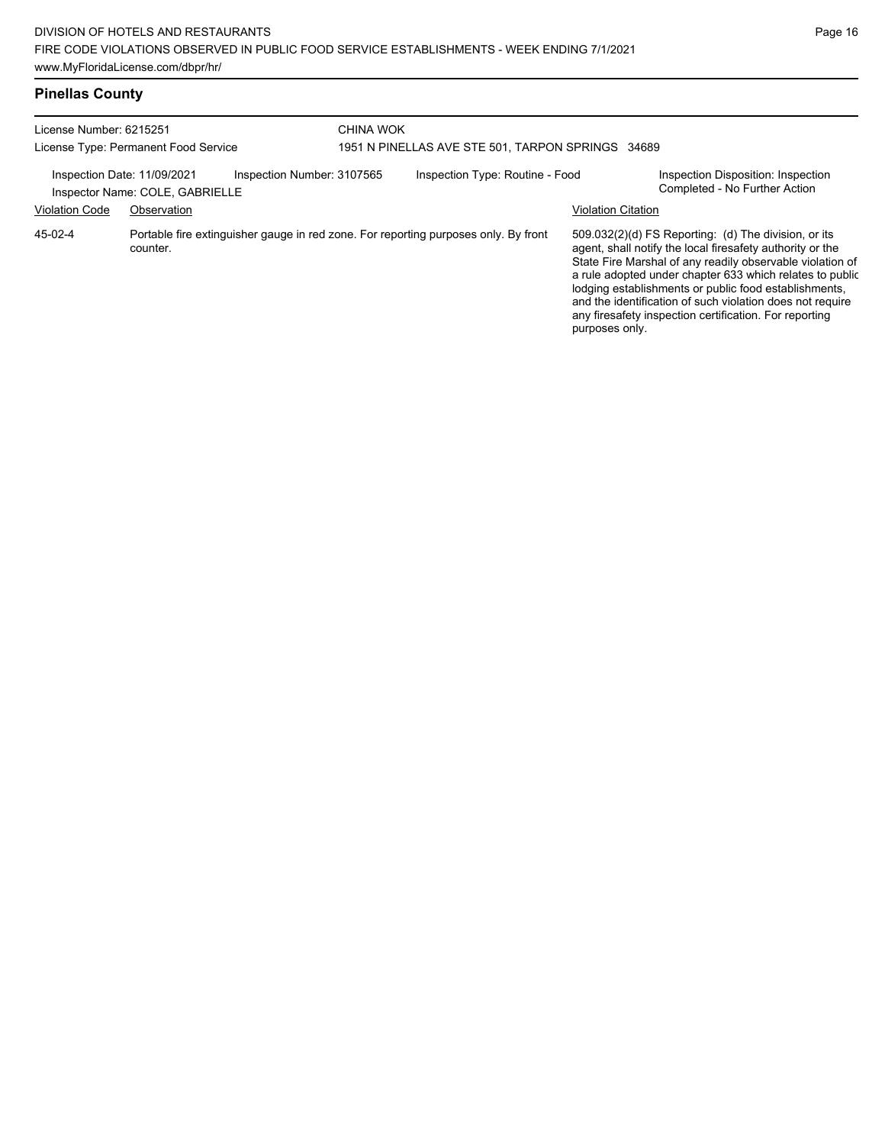| <b>Pinellas County</b> |  |
|------------------------|--|
|                        |  |

| License Number: 6215251<br>License Type: Permanent Food Service<br>Inspection Number: 3107565<br>Inspection Date: 11/09/2021<br>Inspector Name: COLE, GABRIELLE |          |  | <b>CHINA WOK</b><br>1951 N PINELLAS AVE STE 501, TARPON SPRINGS 34689 |                                                                                     |                                                                                                                                                                                                                                                                                                                                                                                                                                              |  |  |
|-----------------------------------------------------------------------------------------------------------------------------------------------------------------|----------|--|-----------------------------------------------------------------------|-------------------------------------------------------------------------------------|----------------------------------------------------------------------------------------------------------------------------------------------------------------------------------------------------------------------------------------------------------------------------------------------------------------------------------------------------------------------------------------------------------------------------------------------|--|--|
|                                                                                                                                                                 |          |  |                                                                       |                                                                                     |                                                                                                                                                                                                                                                                                                                                                                                                                                              |  |  |
|                                                                                                                                                                 |          |  | <b>Violation Code</b>                                                 | Observation                                                                         |                                                                                                                                                                                                                                                                                                                                                                                                                                              |  |  |
| 45-02-4                                                                                                                                                         | counter. |  |                                                                       | Portable fire extinguisher gauge in red zone. For reporting purposes only. By front | 509.032(2)(d) FS Reporting: (d) The division, or its<br>agent, shall notify the local firesafety authority or the<br>State Fire Marshal of any readily observable violation of<br>a rule adopted under chapter 633 which relates to public<br>lodging establishments or public food establishments,<br>and the identification of such violation does not require<br>any firesafety inspection certification. For reporting<br>purposes only. |  |  |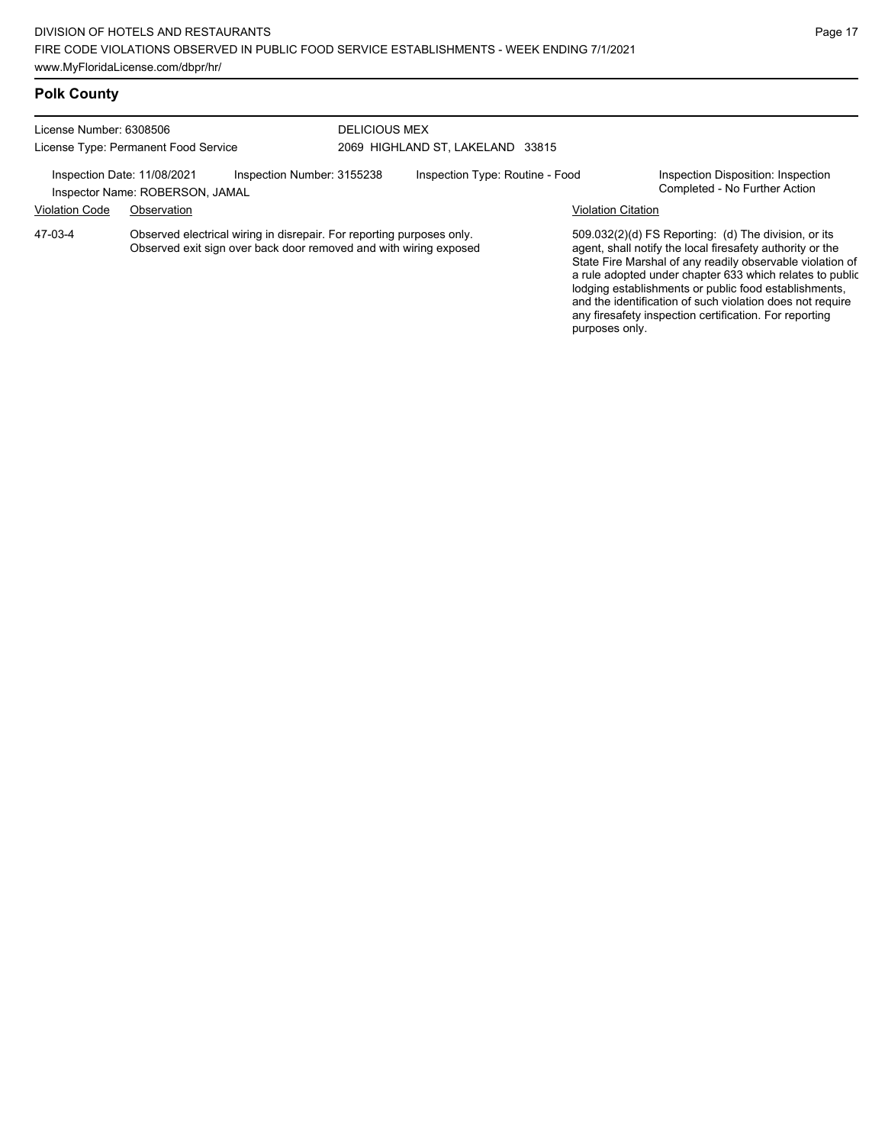#### **Polk County**

License Number: 6308506 License Type: Permanent Food Service

#### DELICIOUS MEX 2069 HIGHLAND ST, LAKELAND 33815

Inspection Date: 11/08/2021 Inspection Number: 3155238 Inspection Type: Routine - Food Inspection Disposition: Inspection<br>Inspector Name: ROBERSON JAMAI

Inspector Name: ROBERSON, JAMAL Violation Code Observation Violation Citation

Observed electrical wiring in disrepair. For reporting purposes only. Observed exit sign over back door removed and with wiring exposed 47-03-4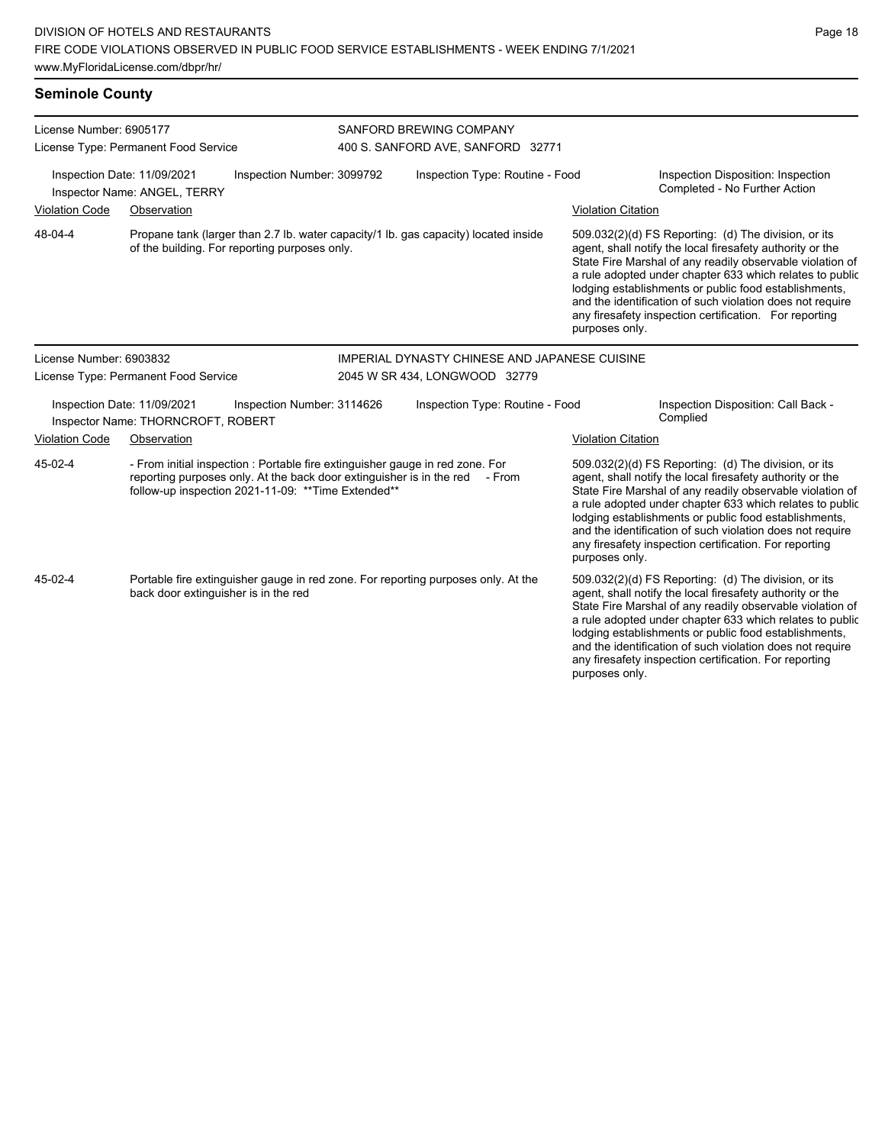www.MyFloridaLicense.com/dbpr/hr/

# **Seminole County**

| License Number: 6905177                                           | License Type: Permanent Food Service                                                                                      |                            | SANFORD BREWING COMPANY<br>400 S. SANFORD AVE, SANFORD 32771                                                                                                 |                           |                                                                                                                                                                                                                                                                                                                                                                                                                                              |  |  |
|-------------------------------------------------------------------|---------------------------------------------------------------------------------------------------------------------------|----------------------------|--------------------------------------------------------------------------------------------------------------------------------------------------------------|---------------------------|----------------------------------------------------------------------------------------------------------------------------------------------------------------------------------------------------------------------------------------------------------------------------------------------------------------------------------------------------------------------------------------------------------------------------------------------|--|--|
| Inspection Date: 11/09/2021<br>Inspector Name: ANGEL, TERRY       |                                                                                                                           | Inspection Number: 3099792 | Inspection Type: Routine - Food                                                                                                                              |                           | Inspection Disposition: Inspection<br>Completed - No Further Action                                                                                                                                                                                                                                                                                                                                                                          |  |  |
| <b>Violation Code</b>                                             | Observation                                                                                                               |                            |                                                                                                                                                              | <b>Violation Citation</b> |                                                                                                                                                                                                                                                                                                                                                                                                                                              |  |  |
| 48-04-4                                                           | of the building. For reporting purposes only.                                                                             |                            | Propane tank (larger than 2.7 lb. water capacity/1 lb. gas capacity) located inside                                                                          |                           | 509.032(2)(d) FS Reporting: (d) The division, or its<br>agent, shall notify the local firesafety authority or the<br>State Fire Marshal of any readily observable violation of<br>a rule adopted under chapter 633 which relates to public<br>lodging establishments or public food establishments,<br>and the identification of such violation does not require<br>any firesafety inspection certification. For reporting<br>purposes only. |  |  |
| License Number: 6903832                                           |                                                                                                                           |                            | <b>IMPERIAL DYNASTY CHINESE AND JAPANESE CUISINE</b>                                                                                                         |                           |                                                                                                                                                                                                                                                                                                                                                                                                                                              |  |  |
| License Type: Permanent Food Service                              |                                                                                                                           |                            | 2045 W SR 434, LONGWOOD 32779                                                                                                                                |                           |                                                                                                                                                                                                                                                                                                                                                                                                                                              |  |  |
| Inspection Date: 11/09/2021<br>Inspector Name: THORNCROFT, ROBERT |                                                                                                                           | Inspection Number: 3114626 | Inspection Type: Routine - Food                                                                                                                              |                           | Inspection Disposition: Call Back -<br>Complied                                                                                                                                                                                                                                                                                                                                                                                              |  |  |
| <b>Violation Code</b>                                             | Observation                                                                                                               |                            |                                                                                                                                                              | <b>Violation Citation</b> |                                                                                                                                                                                                                                                                                                                                                                                                                                              |  |  |
| 45-02-4                                                           | follow-up inspection 2021-11-09: ** Time Extended**                                                                       |                            | - From initial inspection : Portable fire extinguisher gauge in red zone. For<br>reporting purposes only. At the back door extinguisher is in the red - From |                           | 509.032(2)(d) FS Reporting: (d) The division, or its<br>agent, shall notify the local firesafety authority or the<br>State Fire Marshal of any readily observable violation of<br>a rule adopted under chapter 633 which relates to public<br>lodging establishments or public food establishments,<br>and the identification of such violation does not require<br>any firesafety inspection certification. For reporting<br>purposes only. |  |  |
| 45-02-4                                                           | Portable fire extinguisher gauge in red zone. For reporting purposes only. At the<br>back door extinguisher is in the red |                            |                                                                                                                                                              | purposes only.            | 509.032(2)(d) FS Reporting: (d) The division, or its<br>agent, shall notify the local firesafety authority or the<br>State Fire Marshal of any readily observable violation of<br>a rule adopted under chapter 633 which relates to public<br>lodging establishments or public food establishments,<br>and the identification of such violation does not require<br>any firesafety inspection certification. For reporting                   |  |  |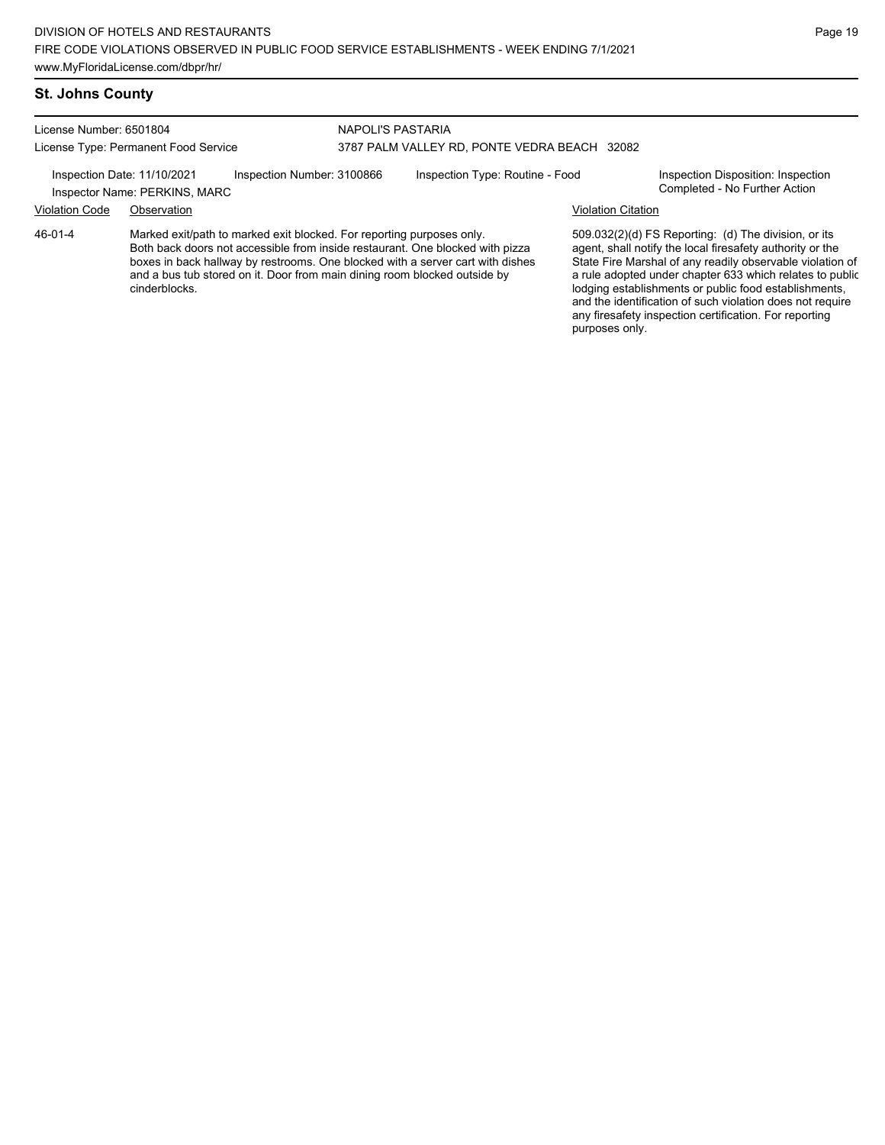#### **St. Johns County**

46-01-4

License Number: 6501804 License Type: Permanent Food Service

#### NAPOLI'S PASTARIA 3787 PALM VALLEY RD, PONTE VEDRA BEACH 32082

cinderblocks.

Inspection Date: 11/10/2021 Inspection Number: 3100866 Inspection Type: Routine - Food Inspection Disposition: Inspection<br>Inspector Name: PERKINS MARC

Inspector Name: PERKINS, MARC Violation Code Observation Violation Citation

Marked exit/path to marked exit blocked. For reporting purposes only. Both back doors not accessible from inside restaurant. One blocked with pizza boxes in back hallway by restrooms. One blocked with a server cart with dishes and a bus tub stored on it. Door from main dining room blocked outside by